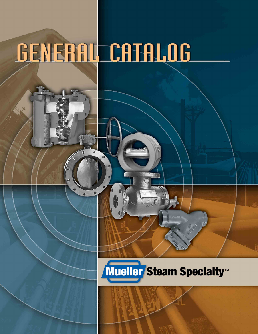# GENERAL CATALOG

# Mueller Steam Specialty™

 $\subset$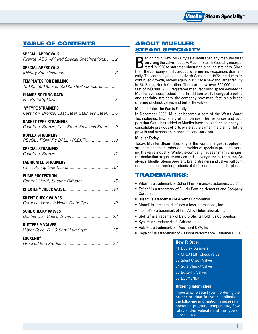

### Table of Contents

| <b>SPECIAL APPROVALS</b><br>Fireline, ABS, API and Special Specifications.  2    |
|----------------------------------------------------------------------------------|
| <b>SPECIAL APPROVALS</b>                                                         |
| <b>TEMPLATES FOR DRILLING</b><br>150 lb., 300 lb. and 600 lb. steel standards 4  |
| <b>FLANGE BOLTING DATA</b>                                                       |
| "Y" TYPE STRAINERS<br>Cast Iron, Bronze, Cast Steel, Stainless Steel 6           |
| <b>BASKET TYPE STRAINERS</b><br>Cast Iron, Bronze, Cast Steel, Stainless Steel 9 |
| <b>DUPLEX STRAINERS</b><br>REVOLUTIONARY BALL - PLEX™ 10                         |
| <b>SPECIAL STRAINERS</b>                                                         |
| <b>FABRICATED STRAINERS</b>                                                      |
| <b>PUMP PROTECTION</b><br>Control-Chek®, Suction Diffuser  15                    |
|                                                                                  |
| <b>SILENT CHECK VALVES</b><br>Compact Wafer & Wafer Globe Type 19                |
| <b>SURE CHECK<sup>®</sup> VALVES</b>                                             |

#### **BUTTERFLY VALVES**

| <b>I OCVENID®</b> |  |  |
|-------------------|--|--|
|                   |  |  |

| LULAEND <sup>®</sup> |  |
|----------------------|--|
|                      |  |

### About Mueller Steam Specialty

Beginning in New York City as a small specialty manufacturer rated in 1956 to start manufacturing pipeline strainers. Since servicing the valve industry, Mueller Steam Specialty incorpothen, the company and its product offering have expanded dramatically. The company moved to North Carolina in 1972 and due to its continued growth, moved again in 1992 to a new and larger facility in St. Pauls, North Carolina. There are now over 300,000 square feet of ISO 9001:2000 registered manufacturing space devoted to Mueller's various product lines. In addition to a full range of pipeline and specialty strainers, the company now manufactures a broad offering of check valves and butterfly valves.

#### **Mueller Joins the Watts Family**

In December 2005, Mueller became a part of the Watts Water Technologies, Inc. family of companies. The resources and support that Watts has added to Mueller have enabled the company to consolidate previous efforts while at the same time plan for future growth and expansion in products and services.

#### **Mueller Today**

Today, Mueller Steam Specialty is the world's largest supplier of strainers and the number one provider of specialty products serving the valve industry. While the company has seen many changes, the dedication to quality, service and delivery remains the same. As always, Mueller Steam Specialty brand strainers and valves will continue to be the premier products of their kind in the marketplace.

- Viton® is a trademark of DuPont Performance Elastomers, L.L.C.
- Teflon® is a trademark of E. I du Pont de Nemours and Company Corporation
- Rilsan® is a trademark of Arkema Corporation
- Monel® is a trademark of Inco Alloys International, Inc.
- Inconel<sup>®</sup> is a trademark of Inco Alloys International, Inc.
- Stellite<sup>®</sup> is a trademark of Deloro Stellite Holdings Corporation
- Kynar® is a trademark of Arkema, Inc.
- Halar® is a trademark of Ausimont USA, Inc.
- Hypalon® is a trademark of Dupont Performance Elastomers L.L.C.

#### **How To Order**

11 Duplex Strainers 17 CHEXTER® Check Valve

22 Silent Check Valves

24 Sure Check® Valves

26 Butterfly Valves

28 Locxend®

#### **Ordering Information**

Important: To assist you in ordering the proper product for your application, the following information is necessary: operating pressure, temperature, flow rates and/or velocity and the type of service used. **TRADEMARKS:**<br>
• Viton® is a trademark of DuPont Performance Elastomers, L.L.C.<br>
• Teflon® is a trademark of E. I du Pont de Nemours and Compa<br>
• Rislan® is a trademark of Arkema Corporation<br>
• Rislan® is a trademark of In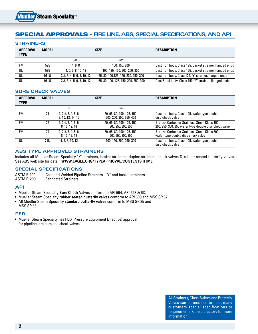### Special Approvals – **FIRE LINE, ABS, SPECIAL SPECifications, AND API**

#### **Strainers**

| <b>APPROVAL</b><br><b>TYPE</b> | <b>MODEL</b> | <b>SIZE</b>                            |                                      | <b>DESCRIPTION</b>                                       |
|--------------------------------|--------------|----------------------------------------|--------------------------------------|----------------------------------------------------------|
|                                |              | in.                                    | mm                                   |                                                          |
| FM                             | 595          | 4.6.8                                  | 100, 150, 200                        | Cast Iron body, Class 125, basket strainer, flanged ends |
| UL                             | 595          | 4, 5, 6, 8, 10, 12                     | 100, 125, 150, 200, 250, 300         | Cast Iron body, Class 125, basket strainer, flanged ends |
| UL                             | 911U         | $2\frac{1}{2}$ , 3, 4, 5, 6, 8, 10, 12 | 65, 80, 100, 125, 150, 200, 250, 300 | Cast Iron body, Class125, "Y" strainer, flanged ends     |
| UL                             | 911U         | $2\frac{1}{2}$ , 3, 4, 5, 6, 8, 10, 12 | 65, 80, 100, 125, 150, 200, 250, 300 | Cast Steel body, Class 150, "Y" strainer, flanged ends   |

#### **Sure check valves**

| <b>APPROVAL</b><br><b>TYPE</b> | <b>MODEL</b> |                                                     | <b>SIZE</b>                                           | <b>DESCRIPTION</b>                                                                                     |
|--------------------------------|--------------|-----------------------------------------------------|-------------------------------------------------------|--------------------------------------------------------------------------------------------------------|
|                                |              | in.                                                 | mm                                                    |                                                                                                        |
| <b>FM</b>                      | 71           | $2, 2\frac{1}{2}, 3, 4, 5, 6,$<br>8, 10, 12, 14, 16 | 50, 65, 80, 100, 125, 150,<br>200, 250, 300, 350, 400 | Cast Iron body, Class 125, wafer type double<br>disc check valve                                       |
| FM                             | 72           | $2, 2\frac{1}{2}, 3, 4, 5, 6,$<br>8, 10, 12, 14     | 50, 65, 80, 100, 125, 150,<br>200, 250, 300, 350      | Bronze, Carbon or Stainless Steel, Class 150,<br>200, 250, 300, 350 wafer type double disc check valve |
| FM                             | 74           | $2, 2\frac{1}{2}, 3, 4, 5, 6,$<br>8, 10, 12, 14     | 50, 65, 80, 100, 125, 150,<br>200, 250, 300, 350      | Bronze, Carbon or Stainless Steel, Class 300,<br>wafer type double disc check valve                    |
| UL                             | 71U          | 4, 6, 8, 10, 12                                     | 100, 150, 200, 250, 300                               | Cast Iron body, Class 125, wafer type double<br>disc check valve                                       |

#### **ABS Type Approved Strainers**

Includes all Mueller Steam Specialty "Y" strainers, basket strainers, duplex strainers, check valves & rubber seated butterfly valves. See ABS web site for detail: **WWW.EAGLE.ORG/TYPEAPPROVAL/CONTENTS.HTML** 

#### **Special Specifications**

ASTM F1199 Cast and Welded Pipeline Strainers - "Y" and basket strainers ASTM F1200 Fabricated Strainers

#### **API**

- Mueller Steam Specialty **Sure Check** Valves conform to API 594, API 598 & 6D.
- Mueller Steam Specialty **rubber seated butterfly valves** conform to API 609 and MSS SP 67.
- All Mueller Steam Specialty **standard butterfly valves** conform to MSS SP 25 and MSS SP 55.

#### **PED**

• Mueller Steam Specialty has PED (Pressure Equipment Directive) approval for pipeline strainers and check valves.

> All Strainers, Check Valves and Butterfly Valves can be modified to meet many customers special specifications or requirements. Consult factory for more information.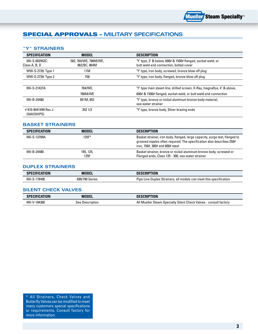

### Special Approvals – **Military Specifications**

#### **"Y" Strainers**

| <b>SPECIFICATION</b>                           | <b>MODEL</b>                          | <b>DESCRIPTION</b>                                                                                    |  |
|------------------------------------------------|---------------------------------------|-------------------------------------------------------------------------------------------------------|--|
| Mil-S-002953C:<br>Class A, B, D                | 582, 764/WE, 766M/WE,<br>862/BC, 864M | "Y" type, 3" & below, 600# & 1500# flanged, socket weld, or<br>butt weld end connection, bolted cover |  |
| WW-S-2739: Type 1                              | 11M                                   | "Y" type, iron body, screwed, bronze blow off plug                                                    |  |
| WW-S-2739: Type 2<br>758                       |                                       | "Y" type, iron body, flanged, bronze blow off plug                                                    |  |
|                                                |                                       |                                                                                                       |  |
| Mil-S-21427A                                   | 764/WE.                               | "Y" type main steam line, drilled screen, X-Ray, magnaflux, 4" & above,                               |  |
|                                                | 766M/WE                               | 600# & 1500# flanged, socket weld, or butt weld end connection                                        |  |
| Mil-B-24480<br>851M, 852<br>sea water strainer |                                       | "Y" type, bronze or nickel aluminum bronze body material,                                             |  |
| #810-8441499 Rev J<br>(NAVSHIPS)               | 352 1/2                               | "Y" type, bronze body, Silver brazing ends                                                            |  |

#### **Basket Strainers**

| <b>SPECIFICATION</b> | <b>MODEL</b>      | <b>DESCRIPTION</b>                                                                                                                                                                      |
|----------------------|-------------------|-----------------------------------------------------------------------------------------------------------------------------------------------------------------------------------------|
| Mil-S-13789A         | $125F^*$          | Basket strainer, iron body, flanged, large capacity, surge test, flanged to<br>grooved nipples often required. The specification also describes 250#<br>iron, 150#, 300# and 600# steel |
| Mil-B-24480          | 165, 125,<br>125F | Basket strainer, bronze or nickel aluminum bronze body, screwed or<br>Flanged ends, Class 125 - 300, sea water strainer                                                                 |

#### **Duplex Strainers**

| :ATION<br>SPI<br>CIFICAT | <b>MODE</b>       | TON<br>.KII                                                                      |
|--------------------------|-------------------|----------------------------------------------------------------------------------|
| 17849E<br>Mil·           | 690/790<br>Series | , all models can meet this specification<br>. Duplex Strainers .<br>Lıne<br>Pine |

#### **Silent Check Valves**

| <b>SPECIFICATION</b> | <b>MODEL</b>    | <b>DESCRIPTION</b>                                                |
|----------------------|-----------------|-------------------------------------------------------------------|
| Mil-V-18436E         | See Description | All Mueller Steam Specialty Silent Check Valves - consult factory |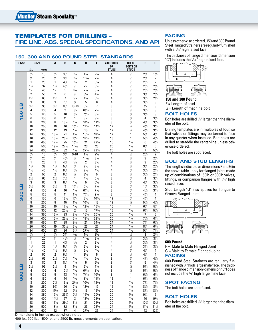### Templates for drilling – **Fire Line, ABS, Special Specifications, and API**

#### **150, 300 and 600 POUND STEEL STANDARDS**

| <b>CLASS</b> |                                  | <b>SIZE</b> | A                                | B                                | C                                | D                       | E                           | # OF BOLTS<br>0R | <b>DIA OF</b><br><b>BOLTS OR</b> | F                           | G                         |
|--------------|----------------------------------|-------------|----------------------------------|----------------------------------|----------------------------------|-------------------------|-----------------------------|------------------|----------------------------------|-----------------------------|---------------------------|
|              | in.                              | mm          |                                  |                                  |                                  |                         |                             | <b>STUDS</b>     | <b>STUDS</b>                     |                             |                           |
|              | $\frac{1}{2}$                    | 15          | $\frac{1}{2}$                    | $3^{1/2}$                        | $\frac{7}{16}$                   | $1^{3}/_{8}$            | $2^{3}/8$                   | 4                | $\frac{1}{2}$                    | $2\frac{1}{4}$              | $1^{3}/4$                 |
|              | $\frac{3}{4}$                    | 20          | $\frac{3}{4}$                    | $3\frac{7}{8}$                   | $\frac{7}{16}$                   | $1^{11}/_{16}$          | $2^{3/4}$                   | 4                | $\frac{1}{2}$                    | $2\frac{1}{4}$              | $\overline{\mathbf{c}}$   |
|              | $\mathbf{1}$                     | 25          | 1                                | $4\frac{1}{4}$                   | $\frac{7}{16}$                   | 2                       | $3^{1/8}$                   | 4                | $\frac{1}{2}$                    | $2^{1/2}$                   | $\overline{\mathbf{c}}$   |
|              | $1\frac{1}{4}$                   | 32          | $1^{1}/4$                        | $4^{5}/_8$                       | $\frac{1}{2}$                    | $2^{1/2}$               | $3^{1/2}$                   | 4                | $\frac{1}{2}$                    | $\frac{2^{1}}{2}$           | $2^{1/4}$                 |
|              | $1\frac{1}{2}$                   | 40          | $1\frac{1}{2}$                   | 5                                | $\frac{9}{16}$                   | $2\frac{7}{8}$          | $3\frac{7}{8}$              | 4                | $\frac{1}{2}$                    | $2^{1/2}$                   | $2\frac{1}{4}$            |
|              | $\overline{2}$                   | 50          | $\overline{2}$                   | 6                                | $\frac{5}{8}$                    | $3^{5}/\!$              | $4^{3}/_{4}$                | 4                | $\frac{5}{8}$                    | $3\frac{1}{4}$              | $2^{1/2}$                 |
|              | $2^{1/2}$<br>3                   | 65<br>80    | $2^{1/2}$                        | 7<br>$7\frac{1}{2}$              | 11/16<br>$^{3/4}$                | $4^{1/8}$<br>5          | $5^{1/2}$                   | 4<br>4           | $5\!/_{\text{8}}$<br>$5\!/_{8}$  | $3^{1/2}$<br>$3^{1/2}$      | $2^{3}/4$                 |
| ЯП           | $3\frac{1}{2}$                   | 95          | 3<br>$3^{1/2}$                   | $8^{1/2}$                        | $13 - 16$                        | $5\frac{1}{2}$          | 6<br>$\overline{7}$         | $\overline{8}$   | $\frac{5}{8}$                    | $\frac{1}{2}$               | 3<br>$\overline{3}$       |
|              | 4                                | 100         | 4                                | 9                                | 15/16                            | $6^{3}/_{16}$           | $7^{1/2}$                   | 8                | $\frac{5}{8}$                    | $3^{1/2}$                   | $\overline{3}$            |
| 50           | 5                                | 125         | 5                                | 10                               | $\frac{15}{16}$                  | 75/16                   | $8\frac{1}{2}$              | 8                | $\frac{3}{4}$                    | $3^{3}/_{4}$                | 3                         |
|              | 6                                | 150         | 6                                | 11                               | 1                                | $8\frac{1}{2}$          | $9\frac{1}{2}$              | 8                | $^{3/4}$                         | 4                           | $3\frac{1}{4}$            |
|              | 8                                | 200         | 8                                | $13^{1/2}$                       | $1\frac{1}{8}$                   | $10^{5}/\mathrm{s}$     | $11^{3}/4$                  | 8                | $^{3}/_{4}$                      | $4\frac{1}{4}$              | $3^{1/2}$                 |
|              | 10                               | 250         | 10                               | 16                               | $1^{3}/_{16}$                    | $12^{3/4}$              | $14^{1/4}$                  | 12               | $\frac{7}{8}$                    | $4^{3}/_{4}$                | $3^{3}/4$                 |
|              | 12                               | 300         | 12                               | 19                               | $1\frac{1}{4}$                   | 15                      | 17                          | 12               | $\frac{7}{8}$                    | $4^{3}/_{4}$                | $3\frac{3}{4}$            |
|              | 14                               | 350         | $13^{1/4}$                       | 21                               | $1^{3}/_{8}$                     | $16^{1/4}$              | $18^{3}/4$                  | 12               | 1                                | $5^{1/4}$                   | $4^{1/4}$                 |
|              | 16                               | 400         | $15\frac{1}{4}$                  | $23\frac{1}{2}$                  | $1\frac{7}{16}$                  | $18\frac{1}{2}$         | $21\frac{1}{4}$             | 16               | 1                                | $5\frac{1}{2}$              | $4\frac{1}{2}$            |
|              | 18                               | 450         | $17\frac{1}{4}$                  | 25                               | 16/16                            | 21                      | $22^{3/4}$                  | 16               | $1\frac{1}{8}$                   | 6                           | $4^{3}/_{4}$              |
|              | 20                               | 500         | $19^{1/4}$                       | $27\frac{1}{2}$                  | $1^{11}/_{16}$                   | 23                      | 25                          | 20               | $1\frac{1}{8}$                   | $6\frac{1}{4}$              | 5                         |
|              | 24                               | 600         | $23^{1/4}$                       | 32                               | $1\frac{7}{8}$                   | $27\frac{1}{4}$         | $29\frac{1}{2}$             | 20               | $1\frac{1}{4}$                   | 7                           | $5\frac{1}{2}$            |
|              | $\frac{1}{2}$                    | 15          | $\frac{1}{2}$                    | $3^{3}/4$                        | $9 - 16$                         | $1^{3}/8$               | $2^{5}/8$                   | $\overline{4}$   | $\frac{1}{2}$                    | $2\frac{1}{2}$              | $\overline{2}$            |
|              | $\frac{3}{4}$                    | 20          | $^{3}/_{4}$                      | $4^{5}/_{8}$                     | $5/8$                            | $1^{11}/_{16}$          | $3\frac{1}{4}$              | 4                | $\frac{5}{8}$                    | $\overline{3}$              | $2^{1/4}$                 |
|              | 1                                | 25          | 1                                | $4\frac{7}{8}$                   | 11/16                            | $\overline{2}$          | $3\frac{1}{2}$              | 4                | $5/8$                            | 3                           | $2^{1/2}$                 |
|              | 11/4                             | 32          | $1\frac{1}{4}$                   | $5\frac{1}{4}$                   | $^{3/4}$                         | $2^{1/2}$               | $3\frac{7}{8}$              | 4<br>4           | $\frac{5}{8}$<br>$^{3}/_{4}$     | $3\frac{1}{4}$              | $2^{1/2}$                 |
|              | $1\frac{1}{2}$<br>$\overline{2}$ | 40<br>50    | $1\frac{1}{2}$<br>$\overline{2}$ | $6\frac{1}{8}$<br>$6\frac{1}{2}$ | 13/16<br>$\frac{7}{8}$           | $2^{7}/8$<br>$3^{5}/\!$ | $4^{1/2}$<br>5              | 8                | $5/8$                            | $3^{1/2}$<br>$3\frac{1}{2}$ | $2^{3}/_{4}$<br>$2^{3/4}$ |
|              | $2\frac{1}{2}$                   | 65          | $2^{1/2}$                        | $7\frac{1}{2}$                   | 1                                | $4\frac{1}{8}$          | $5\frac{7}{8}$              | 8                | $^{3/4}$                         | 4                           | $3\frac{1}{4}$            |
|              | 3                                | 80          | 3                                | $8\frac{1}{4}$                   | $1\frac{1}{8}$                   | 5                       | $6\frac{5}{8}$              | 8                | $^{3}/_{4}$                      | $4^{1/4}$                   | $3^{1/2}$                 |
| ₫            | $3\frac{1}{2}$                   | 95          | $3\frac{1}{2}$                   | 9                                | $1^{3/16}$                       | $5\frac{1}{2}$          | $7\frac{1}{4}$              | 8                | $^{3/4}$                         | $1\frac{1}{4}$              | $3^{1/2}$                 |
|              | 4                                | 100         | 4                                | 10                               | $1\frac{1}{4}$                   | $6^{3/16}$              | $7\frac{7}{8}$              | 8                | $\frac{3}{4}$                    | $4\frac{1}{2}$              | $3^{3}/_{4}$              |
|              | 5                                | 125         | 5                                | 11                               | $1^{3}/_{8}$                     | $7^{5}/_{16}$           | $9^{1/4}$                   | 8                | $^{3}/_{4}$                      | $4^{3}/_{4}$                | 4                         |
| 300          | 6                                | 150         | 6                                | $12\frac{1}{2}$                  | $1\frac{7}{16}$                  | $8\frac{1}{2}$          | $10^{5}/\mathrm{s}$         | 12               | $^{3/4}$                         | $4^{3}/_{4}$                | 4                         |
|              | 8                                | 200         | 8                                | 15                               | 15/8                             | $10^{5/8}$              | 13                          | 12               | $\overline{\frac{7}{8}}$         | $\frac{5^{1}}{2}$           | $4\frac{1}{2}$            |
|              | 10                               | 250         | 10                               | $17^{1/2}$                       | $1\frac{7}{8}$                   | $12^{3}/4$              | $15\frac{1}{4}$             | 16               | 1                                | $6\frac{1}{4}$              | $5\frac{1}{4}$            |
|              | 12                               | 300         | 12                               | $20\frac{1}{2}$                  | 2                                | 15                      | $17^{3}/4$                  | 16               | $1\frac{1}{8}$                   | $6^{3}/_{4}$                | $5\frac{1}{2}$            |
|              | 14                               | 350         | $13\frac{1}{4}$                  | 23                               | $2\frac{1}{8}$                   | $16^{1/4}$              | $20^{1/4}$                  | 20               | $1\frac{1}{8}$                   | 7                           | 6                         |
|              | 16                               | 400         | $15\frac{1}{4}$                  | $25\frac{1}{2}$                  | $2\frac{1}{4}$                   | $18^{1/2}$              | $22^{1/2}$                  | 20               | $1\frac{1}{4}$                   | $7\frac{1}{2}$              | $6\frac{1}{4}$            |
|              | 18                               | 450         | 17                               | 28                               | $2^{3/8}$                        | 21                      | $24^{3}/4$                  | 24               | $1\frac{1}{4}$                   | $7^{3/4}$                   | $6^{1/2}$                 |
|              | 20                               | 500         | 19                               | $30\frac{1}{2}$                  | $2^{1/2}$                        | 23                      | 27                          | 24               | $1\frac{1}{4}$                   | $8\frac{1}{4}$              | $6^{3}/_{4}$              |
|              | 24                               | 600         | 23                               | 36                               | $2^{3/4}$                        | $27\frac{1}{4}$         | 32                          | 24               | $1\frac{1}{2}$                   | $9^{1/4}$                   | $7^{3}/_{4}$              |
|              | $\frac{1}{2}$                    | 15          | $\frac{1}{2}$                    | $3^{3}/4$                        | $\frac{9}{16}$                   | $1^{3}/8$               | $2^{5}/8$                   | 4                | $\frac{1}{2}$                    | 3                           | $2^{3/4}$                 |
|              | $^{3/4}$<br>$\mathbf{1}$         | 20          | $\frac{3}{4}$                    | $4^{5}/_{8}$                     | $\frac{5}{8}$<br>$\frac{11}{16}$ | $1^{11/16}$             | $3\frac{1}{4}$              | 4                | $5\!/_{\text{8}}$<br>$5/8$       | $3^{1/2}$                   | $3\frac{1}{4}$            |
|              | $1\frac{1}{4}$                   | 25<br>32    | 1<br>$1\frac{1}{4}$              | $4\frac{7}{8}$                   | 13/16                            | 2<br>$2^{1/2}$          | $3^{1/2}$<br>$3\frac{7}{8}$ | 4<br>4           | $5\!/_{8}$                       | $3^{1/2}$<br>$3^{3}/_{4}$   | $3\frac{1}{4}$            |
|              | $1\frac{1}{2}$                   | 40          | $1\frac{1}{2}$                   | $5\frac{1}{4}$<br>$6^{1/8}$      | $\frac{7}{8}$                    | $2\frac{7}{8}$          | $4\frac{1}{2}$              | 4                | $^{3/4}$                         | $4\frac{1}{4}$              | $3^{1/2}$<br>4            |
|              | $\overline{\mathbf{c}}$          | 50          | 2                                | $6^{1/2}$                        | 1                                | $3^{5}/\!$              | 5                           | 8                | $5/8$                            | $4\frac{1}{4}$              | 4                         |
|              | $2^{1/2}$                        | 65          | $2\frac{1}{2}$                   | $7\frac{1}{2}$                   | $1\frac{1}{8}$                   | $4\frac{1}{8}$          | $5\frac{7}{8}$              | 8                | $\frac{3}{4}$                    | $4^{3}/_{4}$                | $4\frac{1}{2}$            |
|              | 3                                | 80          | 3                                | $8\frac{1}{4}$                   | $1\frac{1}{4}$                   | 5                       | $6\frac{5}{8}$              | 8                | $\frac{3}{4}$                    | 5                           | $4^{3}/_{4}$              |
|              | $3^{1/2}$                        | 95          | $3^{1/2}$                        | 9                                | $1^{3}/_{8}$                     | $5\frac{1}{2}$          | $7\frac{1}{4}$              | $\overline{8}$   | $\frac{7}{8}$                    | $5\frac{3}{4}$              | $5\frac{1}{2}$            |
|              | 4                                | 100         | 4                                | $10^{3/4}$                       | 11/2                             | $6^{3}/_{16}$           | $8\frac{1}{2}$              | 8                | $\frac{7}{8}$                    | $5\frac{3}{4}$              | $5\frac{1}{2}$            |
|              | 5                                | 125         | 5                                | 13                               | $1^{3}/4$                        | 75/16                   | $10^{1/2}$                  | 8                | 1                                | $6^{1/2}$                   | $6\frac{1}{4}$            |
| 81 009       | 6                                | 150         | 6                                | 14                               | $1\frac{7}{8}$                   | $8\frac{1}{2}$          | $11^{1/2}$                  | 12               | 1                                | $6^{3}/_{4}$                | $6^{1/2}$                 |
|              | 8                                | 200         | $7\frac{7}{8}$                   | $16\frac{1}{2}$                  | $2^{3}/_{16}$                    | $10^{5}/_8$             | $13^{3}/4$                  | 12               | $1\frac{1}{8}$                   | $7^{3}/_{4}$                | $7\frac{1}{2}$            |
|              | 10                               | 250         | $9^{3}/_{4}$                     | 20                               | $2\frac{1}{2}$                   | $12^{3/4}$              | 17                          | 16               | $1\frac{1}{4}$                   | $8\frac{1}{2}$              | $8\frac{1}{4}$            |
|              | 12                               | 300         | $11^{3}/4$                       | 22                               | $2^{5/8}$                        | 15                      | $19^{1}/4$                  | 20               | $1\frac{1}{4}$                   | $8^{3}/_{4}$                | $8^{1/2}$                 |
|              | 14                               | 350         | $12\frac{7}{8}$                  | $23^{3}/4$                       | $2^{3/4}$                        | $16^{1/4}$              | $20^{3/4}$                  | 20               | $1^{3}/_{8}$                     | $9\frac{1}{4}$              | 9                         |
|              | 16                               | 400         | $14^{3}/4$                       | 27                               | 3                                | $18\frac{1}{2}$         | $23^{3}/4$                  | 20               | 11/2                             | 10                          | $9^{3}/_{4}$              |
|              | 18                               | 450         | $16^{1/2}$                       | $29^{1/4}$                       | $3\frac{1}{4}$                   | 21                      | $25^{3}/4$                  | 20               | $1^{5}/_{8}$                     | $10^{3}/4$                  | $10^{1/2}$                |
|              | 20                               | 500         | $18^{1/4}$                       | 32                               | $3\frac{1}{2}$                   | 23                      | $28\frac{1}{2}$             | 24               | 15/8                             | $11^{1/2}$                  | $11^{1/4}$                |
|              | 24                               | 600         | 22                               | 37                               | 4                                | $27\frac{1}{4}$         | 33                          | 24               | $1\frac{7}{8}$                   | 13                          | $12^{3}/4$                |

Dimensions in inches except where noted. 400 lb., 900 lb., 1500 lb. and 2500 lb. measurements on application.

### **FACING**

Unless otherwise ordered, 150 and 300 Pound Steel Flanged Strainers are regularly furnished with a  $1/16$ " high raised face.

The thickness of flange dimension (dimension "C") includes the  $\frac{1}{16}$  " high raised face.



**150 and 300 Pound**  $F =$  Length of stud G = Length of machine bolt

#### **BOLT HOLES**

Bolt holes are drilled 1/8" larger than the diameter of the bolt.

Drilling templates are in multiples of four, so that valves or fittings may be turned to face in any quarter when installed. Bolt holes are drilled to straddle the center-line unless otherwise ordered.

The bolt holes are spot faced.

#### **BOLT AND STUD LENGTHS**

The lengths indicated as dimensions F and G in the above table apply for flanged joints made up of combinations of 150lb or 300lb valves, fittings, or companion flanges with  $1/16$ " high raised faces.

Stud Length "G" also applies for Tongue to Groove Flanged Joint.



#### **600 Pound**

**FACING**  F = Male to Male Flanged Joint G = Male to Female Flanged Joint

600-Pound Steel Strainers are regularly furnished with 1⁄4" high large male face. The thickness of flange dimension (dimension "C") does not include the 1⁄4" high large male face.

#### **SPOT FACING**

The bolt holes are spot faced.

### **BOLT HOLES**

Bolt holes are drilled 1/8" larger than the diameter of the bolt.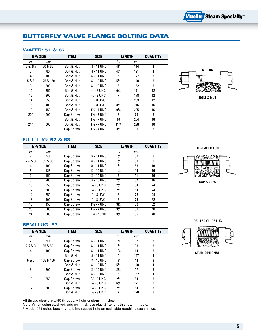### Butterfly Valve Flange Bolting Data

#### **Wafer: 51 & 87**

|          | <b>BFV SIZE</b> | <b>ITEM</b> | <b>SIZE</b>            | <b>LENGTH</b>  |     | <b>QUANTITY</b> |
|----------|-----------------|-------------|------------------------|----------------|-----|-----------------|
| in.      | mm              |             |                        | in.            | mm  |                 |
| $28.2\%$ | 50 & 65         | Bolt & Nut  | $\frac{5}{8}$ - 11 UNC | $4\frac{1}{4}$ | 114 | 4               |
| 3        | 80              | Bolt & Nut  | $% - 11$ UNC           | $4\frac{3}{4}$ | 121 | 4               |
| 4        | 100             | Bolt & Nut  | $% - 11$ UNC           | 5              | 127 | 8               |
| 5&6      | 125 & 150       | Bolt & Nut  | $\frac{3}{4}$ - 10 UNC | $5\frac{1}{2}$ | 140 | 8               |
| 8        | 200             | Bolt & Nut  | $3/4 - 10$ UNC         | 6              | 152 | 8               |
| 10       | 250             | Bolt & Nut  | $\frac{7}{8}$ - 9 UNC  | $6\frac{3}{4}$ | 171 | 12              |
| 12       | 300             | Bolt & Nut  | % - 9 UNC              | 7              | 178 | 12              |
| 14       | 350             | Bolt & Nut  | $1 - 8$ UNC            | 8              | 203 | 12              |
| 16       | 400             | Bolt & Nut  | $1 - 8$ UNC            | $8\frac{1}{2}$ | 216 | 16              |
| 18       | 450             | Bolt & Nut  | $1\% - 7$ UNC          | $9\frac{1}{4}$ | 235 | 16              |
| $20*$    | 500             | Cap Screw   | $1\% - 7$ UNC          | 3              | 76  | 8               |
|          |                 | Bolt & Nut  | $1\% - 7$ UNC          | 10             | 254 | 16              |
| $24*$    | 600             | Bolt & Nut  | $1\frac{1}{4}$ - 7 UNC | 113/4          | 298 | 16              |
|          |                 | Cap Screw   | $1\frac{1}{4}$ - 7 UNC | $3\frac{1}{2}$ | 89  | 8               |



**Bolt & Nut**

### **Full Lug: 52 & 88**

|                    | <b>BFV SIZE</b> | <b>ITEM</b> | <b>SIZE</b>              | <b>LENGTH</b>  |    | <b>QUANTITY</b> |
|--------------------|-----------------|-------------|--------------------------|----------------|----|-----------------|
| in.                | mт              |             |                          | in.            | mт |                 |
| $\overline{2}$     | 50              | Cap Screw   | $% - 11$ UNC             | $1\frac{1}{4}$ | 32 | 8               |
| $2\frac{1}{2}$ & 3 | 65 & 80         | Cap Screw   | $\frac{5}{8}$ - 11 UNC   | $1\frac{1}{2}$ | 38 | 8               |
| 4                  | 100             | Cap Screw   | $% - 11$ UNC             | $1\frac{1}{2}$ | 38 | 16              |
| 5                  | 125             | Cap Screw   | 3/ <sub>4</sub> - 10 UNC | $1\frac{3}{4}$ | 44 | 16              |
| 6                  | 150             | Cap Screw   | $\frac{3}{4}$ - 10 UNC   | 2              | 51 | 16              |
| 8                  | 200             | Cap Screw   | 3/ <sub>4</sub> - 10 UNC | $2\frac{1}{4}$ | 57 | 16              |
| 10                 | 250             | Cap Screw   | $\frac{7}{8}$ - 9 UNC    | $2\frac{1}{2}$ | 64 | 24              |
| 12                 | 300             | Cap Screw   | $\frac{7}{8}$ - 9 UNC    | $2\frac{1}{2}$ | 64 | 24              |
| 14                 | 350             | Cap Screw   | 1 - 8 UNC                | 3              | 76 | 24              |
| 16                 | 400             | Cap Screw   | 1 - 8 UNC                | 3              | 76 | 32              |
| 18                 | 450             | Cap Screw   | $1\% - 7$ UNC            | $3\frac{1}{2}$ | 89 | 32              |
| 20                 | 500             | Cap Screw   | 11/8 - 7 UNC             | $3\frac{1}{2}$ | 89 | 40              |
| 24                 | 600             | Cap Screw   | 11/4 - 7 UNC             | $3\frac{3}{4}$ | 95 | 40              |





**Cap Screw**

#### **Semi lug: 53**

|                    | <b>BFV SIZE</b> | <b>ITEM</b>      | <b>SIZE</b>            | <b>LENGTH</b>  |     | <b>QUANTITY</b> |
|--------------------|-----------------|------------------|------------------------|----------------|-----|-----------------|
| in.                | mт              |                  |                        | in.            | mт  |                 |
| $\mathbf{2}$       | 50              | Cap Screw        | $% - 11$ UNC           | $1\frac{1}{4}$ | 32  | 8               |
| $2\frac{1}{2}$ & 3 | 65 & 80         | <b>Cap Screw</b> | $\frac{5}{8}$ - 11 UNC | $1\frac{1}{2}$ | 38  | 8               |
| 4                  | 100             | Cap Screw        | $\frac{5}{8}$ - 11 UNC | $1\frac{3}{4}$ | 44  | 8               |
|                    |                 | Bolt & Nut       | $\frac{5}{8}$ - 11 UNC | 5              | 127 | 4               |
| 5&6                | 125 & 150       | Cap Screw        | $\frac{3}{4}$ - 10 UNC | $1\frac{3}{4}$ | 44  | 8               |
|                    |                 | Bolt & Nut       | $\frac{3}{4}$ - 10 UNC | $5\frac{1}{2}$ | 140 | 4               |
| 8                  | 200             | Cap Screw        | $\frac{3}{4}$ - 10 UNC | $2\frac{1}{4}$ | 57  | 8               |
|                    |                 | Bolt & Nut       | $\frac{3}{4}$ - 10 UNC | 6              | 152 | 4               |
| 10                 | 250             | Cap Screw        | $\frac{7}{8}$ - 9 UNC  | $2\frac{1}{2}$ | 64  | 8               |
|                    |                 | Bolt & Nut       | $\frac{7}{8}$ - 9 UNC  | $6\frac{3}{4}$ | 171 | 8               |
| 12                 | 300             | Cap Screw        | $\frac{7}{8}$ - 9 UNC  | $2\frac{1}{2}$ | 64  | 8               |
|                    |                 | Bolt & Nut       | $\frac{7}{8}$ - 9 UNC  |                | 178 | 8               |

All thread sizes are UNC threads. All dimensions in inches.

Note: When using stud rod, add nut thickness plus 1/2" to length shown in table. \* Model #51 guide lugs have a blind tapped hole on each side requiring cap screws. **Drilled Guide Lug**



**Stud (Optional)**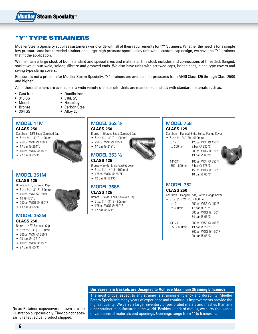

### " TYPE STRAINERS

Mueller Steam Specialty supplies customers world-wide with all of their requirements for "Y" Strainers. Whether the need is for a simple low pressure cast iron threaded strainer or a large, high pressure special alloy unit with a custom cap design, we have the "Y" strainers that fit the application.

We maintain a large stock of both standard and special sizes and materials. This stock includes end connections of threaded, flanged, socket weld, butt weld, solder, silbraze and grooved ends. We also have units with screwed caps, bolted caps, hinge type covers and swing type clamp covers.

Pressure is not a problem for Mueller Steam Specialty. "Y" strainers are available for pressures from ANSI Class 125 through Class 2500 and higher.

All of these strainers are available in a wide variety of materials. Units are maintained in stock with standard materials such as:

- Cast Iron Ductile Iron
- 316 SS 316L SS
- 
- 
- 
- Monel Hastellov
- Bronze Carbon Steel
- 304 SS Alloy 20

### **Model 11M**

#### **Class 250**

Cast Iron – NPT Ends, Screwed Cap

- Size:  $\frac{1}{4}$ " 4" (8 100mm)
- • 250psi WSP @ 400°F
- 17 bar @ 204°C
- • 400psi WOG @ 150°F
- 27 bar  $@$  65 $°C$

### **Model 351M Class 125**

Bronze – NPT, Screwed Cap

- • Size: 1 ⁄4" 3" (8 80mm)
- 150psi WSP @ 350°F
- 10 @ 176°C
- • 200psi WOG @ 150°F
- 13 bar @ 65°C

#### **Model 352M Class 250**

Bronze – NPT, Screwed Cap

- Size  $\frac{1}{4}$ " 4" (8 100mm)
- • 300psi WSP @ 350°F
- • 20 bar @ 176°C
- $\bullet$  400psi WOG @ 150°F
- $\bullet$  27 bar @ 65°C

### **Model 352 1⁄2**

#### **Class 250**

Bronze – Silbraze Ends, Screwed Cap

- Size:  $\frac{1}{4}$ " 4" (8 100mm)
- • 250psi WSP @ 425°F
- 17 bar @ 218°C



### **Class 125**

- Bronze Solder Ends, Gasket Cover
- Size:  $\frac{1}{4}$ " 4" (8 100mm)
- • 175psi WOG @ 250ºF
- • 12 bar @ 121ºC

### **Model 358S**

### **Class 125**

#### Bronze – Solder Ends, Screwed Cap

- Size: 1/4" 3" (8 80mm)
- 175psi WOG @ 250°F
- • 12 bar @ 121°C

#### **Model 758 Class 125**

Cast Iron – Flanged Ends, Bolted Flange Cover

- • Size: 3 ⁄4"-24" (20 600mm) to 12" 125psi WSP @ 450°F
	- (to 300mm) 8 bar @ 232°C
		- 200psi WOG @ 150°F 13 bar @ 65°C
	- 14"-24" 100psi WSP @ 353°F (350 - 600mm) 7 bar @ 178°C



 150psi WOG @ 150°F 10 bar @ 65°C

### **Model 752**

#### **Class 250**

Cast Iron – Flanged Ends, Bolted Flange Cover

- Size: 1⁄2" 24" (15 600mm) to 12" 250psi WSP @ 450°F (to 300mm) 17 bar @ 232°C 500psi WOG @ 150°F
- 14"-24" 200psi WSP @ 406°F (350 - 600mm) 13 bar @ 208°C 300psi WOG @ 150°F

#### 20 bar @ 65°C

34 bar @ 65°C

#### **Our Screens & Baskets are Designed to Achieve Maximum Straining Efficiency**

The most critical aspect to any strainer is straining efficiency and durability. Mueller Steam Specialty's many years of experience and continuous improvements provide the highest quality. We carry a larger inventory of perforated metals and meshes than any other strainer manufacturer in the world. Besides standard metals, we carry thousands of variations of materials and openings. Openings range from 1" to 5 microns.

**Note:** Retainer caps/covers shown are for illustration purposes only. They do not necessarily reflect actual product shipped.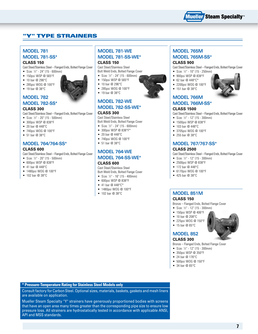

### "Y" Type Strainers

### **Model 781 Model 781-SS\***

#### **Class 150**

Cast Steel/Stainless Steel – Flanged Ends, Bolted Flange Cover

- Size: 1⁄2" 24" (15 600mm)
- 150psi WSP @ 565°F
- 10 bar @ 296°C
- • 285psi WOG @ 100°F
- 19 bar @ 38°C

#### **Model 782 Model 782-SS\***

#### **Class 300**

Cast Steel/Stainless Steel – Flanged Ends, Bolted Flange Cover

- Size: 1⁄2" 20" (15 500mm)
- 300psi WSP @ 838°F
- 20 har  $@$  448 °C
- 740psi WOG @ 100°F
- • 51 bar @ 38°C

#### **Model 764/764-SS\***

#### **Class 600**

Cast Steel/Stainless Steel – Flanged Ends, Bolted Flange Cover

- Size:  $\frac{1}{2}$ " 20" (15 500mm)
- • 600psi WSP @ 838°F
- 41 bar @ 448°C
- 1480psi WOG @ 100°F
- 102 bar @ 38°C

### **Model 781-WE Model 781-SS-WE\***

#### **Class 150**

Cast Steel/Stainless Steel Butt Weld Ends, Bolted Flange Cover

- • Size: 1 ⁄2" 24" (15 600mm)
- 150psi WSP @ 565°F
- 10 bar @ 296°C
- • 285psi WOG @ 100°F
- 19 bar @ 38°C

### **Model 782-WE Model 782-SS-WE\***

#### **Class 300**

Cast Steel/Stainless Steel Butt Weld Ends, Bolted Flange Cover

- Size: 1⁄2" 24" (15 600mm)
- 300psi WSP @ 838°F\*
- • 20 bar @ 448°C
- • 740psi WOG @ 100°F
- • 51 bar @ 38°C

### **Model 764-WE Model 764-SS-WE\***

#### **Class 600**

Cast Steel/Stainless Steel Butt Weld Ends, Bolted Flange Cover

- Size:  $\frac{1}{2}$ " 16" (15 400mm)
- • 600psi WSP @ 838°F
- 41 bar  $@$  448 $°C*$
- 1480psi WOG @ 100°F
- 102 bar @ 38°C

### **Model 765M Model 765M-SS\***

#### **Class 900**

Cast Steel/Stainless Steel – Flanged Ends, Bolted Flange Cover

- Size: 1⁄2" 10" (15 250mm)
- • 900psi WSP @ 838°F
- 62 bar  $@$  448 $°C*$
- • 2200psi WOG @ 100°F
- 151 bar @ 38°C
- 

### **Model 766M Model 766M-SS\***

#### **Class 1500**

Cast Steel/Stainless Steel – Flanged Ends, Bolted Flange Cover

- Size: 1⁄2" 12" (15 300mm)
- • 1500psi WSP @ 838°F
- 103 bar @ 448°C
- • 3705psi WOG @ 100°F
- • 255 bar @ 38°C

### **Model 767/767-SS\***

#### **Class 2500**

Cast Steel/Stainless Steel – Flanged Ends, Bolted Flange Cover

- Size:  $\frac{1}{2}$ " 12" (15 300mm)
- • 2500psi WSP @ 838°F
- • 172 bar @ 448°C
- • 6170psi WOG @ 100°F
- • 425 bar @ 38°C

#### **Model 851M Class 150**

Bronze – Flanged Ends, Bolted Flange Cover

- Size: 1⁄2" 12" (15 300mm)
- 150psi WSP @ 406°F
- 10 bar @ 208°C
- • 225psi WOG @ 150°F
- 15 bar @ 65°C

#### **Model 852**

#### **Class 300**

Bronze – Flanged Ends, Bolted Flange Cover

- Size: 1⁄2" 12" (15 300mm)
- • 350psi WSP @ 350°F
- • 24 bar @ 176°C
- • 500psi WOG @ 150°F
- • 34 bar @ 65°C

**\* Pressure-Temperature Rating for Stainless Steel Models only**

Consult factory for Carbon Steel. Optional sizes, materials, baskets, gaskets and mesh liners are available on application.

Mueller Steam Specialty "Y" strainers have generously proportioned bodies with screens that have an open area many times greater than the corresponding pipe size to ensure low pressure loss. All strainers are hydrostatically tested in accordance with applicable ANSI, API and MSS standards.





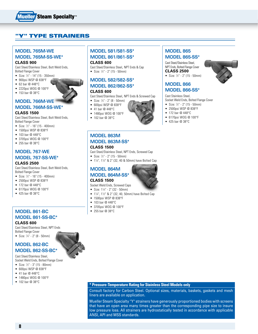

### **" TYPE STRAINERS**

### **Model 765M-WE Model 765M-SS-WE\***

**Class 900**

Cast Steel/Stainless Steel, Butt Weld Ends, Bolted Flange Cover

- • Size: 1 ⁄2" 14" (15 350mm)
- 900psi WSP @ 838°F
- 62 bar @ 448°C
- • 2220psi WOG @ 100°F
- 153 bar @ 38°C

### **Model 766M-WE Model 766M-SS-WE\***

#### **Class 1500**

Cast Steel/Stainless Steel, Butt Weld Ends, Bolted Flange Cover

- Size: 1⁄2" 16" (15 400mm)
- • 1500psi WSP @ 838°F
- 103 bar @ 448°C
- 3705psi WOG @ 100°F
- • 255 bar @ 38°C

### **Model 767-WE Model 767-SS-WE\***

#### **Class 2500**

Cast Steel/Stainless Steel, Butt Weld Ends, Bolted Flange Cover

- • Size: 1 ⁄2" 16" (15 400mm)
- • 2500psi WSP @ 838°F
- • 172 bar @ 448°C
- • 6170psi WOG @ 100°F
- 425 bar @ 38°C

### **Model 861-BC Model 861-SS-BC\***

**Class 600**

Cast Steel/Stainless Steel, NPT Ends Bolted Flange Cover

● Size: 1/4" - 2" (8 - 50mm)

### **Model 862-BC Model 862-SS-BC\***

Cast Steel/Stainless Steel, Socket Weld Ends, Bolted Flange Cover

- • Size: 1 ⁄2" 3" (15 80mm)
- • 600psi WSP @ 838°F
- 41 bar @ 448°C
- 1480psi WOG @ 100°F
- 102 bar @ 38°C

#### **Model 581/581-SS\* Model 861/861-SS\***

#### **Class 600**

Cast Steel/Stainless Steel, NPT Ends & Cap ● Size: ½" - 2" (15 - 50mm)

### **Model 582/582-SS\* Model 862/862-SS\***

#### **Class 600**

- Cast Steel/Stainless Steel, NPT Ends & Screwed Cap
- 
- 
- • 1480psi WOG @ 100°F
- • 102 bar @ 38°C

#### **Model 863M Model 863M-SS\* Class 1500**

- 
- Cast Steel/Stainless Steel, NPT Ends, Screwed Cap
- Size: ½" 2" (15 50mm) •  $1\frac{1}{4}$ ,  $1\frac{1}{2}$  & 2" (32, 40 & 50mm) have Bolted Cap

# **Model 864M**

#### **Model 864M-SS\* Class 1500**

- Socket Weld Ends, Screwed Caps
- 
- 
- 1500psi WSP @ 838°F
- • 103 bar @ 448°C
- 3705psi WOG @ 100°F
- • 255 bar @ 38°C

### **Model 865 Model 865-SS\***

Cast Steel/Stainless Steel, NPT Ends, Bolted Flange Cover **Class 2500**

• Size: 1 ⁄2" - 2" (15 - 50mm)

#### **Model 866 Model 866-SS\***

Cast Stainless Steel, Socket Weld Ends, Bolted Flange Cover

- • Size: 1 ⁄2" 2" (15 50mm)
- • 2500psi WSP @ 838°F
- 172 bar @ 448°C
- • 6170psi WOG @ 100°F
- • 425 bar @ 38°C

**8**



- Size: 1¼" 2" (32 50mm)
- 1¼", 1½" & 2" (32, 40, 50mm) have Bolted Cap
- 
- 
- 
- 



#### **\* Pressure-Temperature Rating for Stainless Steel Models only**

Consult factory for Carbon Steel. Optional sizes, materials, baskets, gaskets and mesh liners are available on application.

Mueller Steam Specialty "Y" strainers have generously proportioned bodies with screens that have an open area many times greater than the corresponding pipe size to insure low pressure loss. All strainers are hydrostatically tested in accordance with applicable ANSI, API and MSS standards.

#### • Size: 1 ⁄4" - 2" (8 - 50mm) • 600psi WSP @ 838°F • 41 bar @ 448°C

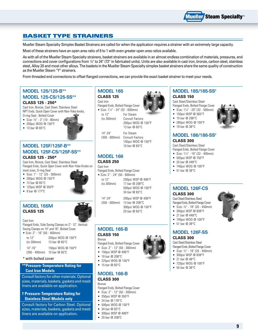

### Basket Type Strainers

Mueller Steam Specialty Simplex Basket Strainers are called for when the application requires a strainer with an extremely large capacity.

Most of these strainers have an open area ratio of 6 to 1 with even greater open area ratios available.

As with all of the Mueller Steam Specialty strainers, basket strainers are available in an almost endless combination of materials, pressures, end connections and cover configurations from 1⁄4" to 24" (72" in fabricated units). Units are also available in cast iron, bronze, carbon steel, stainless steel, Alloy 20 and most other alloys. The baskets in the Mueller Steam Specialty simplex basket strainers share the same quality of construction as the Mueller Steam "Y" strainers.

From threaded end connections to offset flanged connections, we can provide the exact basket strainer to meet your needs.

### **Model 125/125-B\*\* Model 125-CS/125-SS\*\***

#### **Class 125 - 250\***

Cast Iron, Bronze, Cast Steel, Stainless Steel NPT Ends, Quick Open Cover with Non-Yoke knobs, O-ring Seal , Bolted Cover

- • Size: 3 ⁄8" 3" (10 80mm)
- • 200psi WOG @ 150°F
- • 13 bar @ 65°C



#### **Model 125F/125F-B\*\* Model 125F-CS/125F-SS\*\* Class 125 - 250\***

Cast Iron, Bronze, Cast Steel, Stainless Steel Flanged Ends, Quick Open Cover with Non-Yoke Knobs on most sizes, O-ring Seal

- • Size: 1" 12" (25 300mm)
- • 200psi WOG @ 150°F

• 125psi WSP @ 350ºF • 9 bar @ 177°C

- 13 bar @ 65°C
- 

### **Model 155M Class 125**



Cast Iron Flanged Ends, Side Swing Clamps on 2"- 12", Vertical Swing Clamps on 14" and 16", Bolted Cover

| • Size: $2" - 16"$ (50 - 400mm) |                    |
|---------------------------------|--------------------|
| to 12"                          | 200psi WOG @ 150°F |
| (to 300mm)                      | 13 har $@$ 65 $°C$ |
| $14" - 16"$                     | 150psi WOG @ 150°F |

(350 - 400mm) 10 bar @ 65ºC

#### \* with bolted cover

#### **\*\*Pressure-Temperature Rating for Cast Iron Models**

Consult factory for other materials. Optional sizes, materials, baskets, gaskets and mesh liners are available on application.

#### **† Pressure-Temperature Rating for Stainless Steel Models only**

Consult factory for Carbon Steel. Optional sizes, materials, baskets, gaskets and mesh liners are available on application.

#### **Model 165 Class 125**

### Cast Iron

Flanged Ends, Bolted Flange Cover

• Size: 1<sup>1</sup> ⁄4" - 24" (32 - 600mm)

to 12" For Steam

(to 300mm) Consult Factory 200psi WOG @ 150°F 13 bar @ 65°C

14"-24" For Steam (350 - 600mm) Consult Factory 150psi WOG @ 150°F 10 bar @ 65°C

#### **Model 166**

#### **Class 250**

Cast Iron

| Flanged Ends, Bolted Flange Cover |  |  |
|-----------------------------------|--|--|
|                                   |  |  |

|            | • Size: $2" - 24"$ (50 - 600mm) |
|------------|---------------------------------|
| to 12"     | 250psi WSP @ 406°F              |
| (to 300mm) | 17 har @ 208°C                  |
|            | 500psi WOG @ 150°F              |
|            | 34 bar @ 65°C                   |
|            |                                 |

14"-24" 200psi WSP @ 406°F 300psi WOG @ 150°F 20 bar @ 65°C

#### **Model 165-B Class 150**

Bronze

- Flanged Ends, Bolted Flange Cover
- • Size: 2" 12" (50 300mm)
- 150psi WSP @ 406°F
- 10 bar @ 208°C
- • 225psi WOG @ 150°F
- 15 bar @ 65°C

### **Model 166-B**

#### **Class 300** Bronze

Flanged Ends, Bolted Flange Cover

- • Size: 2" 12" (50 300mm)
- • 350psi WSP @ 350°F
- • 24 bar @ 176°C
- • 500psi WOG @ 150°F
- $\bullet$  34 bar @ 65°C
- • 300psi WSP @ 406ºF
- • 20 bar @ 208ºC

#### **Model 185/185-SS† Class 150**

Cast Steel/Stainless Steel Flanged Ends, Bolted Flange Cover

- • Size: 11 ⁄4" 20" (32 500mm) • 150psi WSP @ 565°F
- 10 bar @ 296°C
- • 285psi WOG @ 100°F
- 19 har  $@.38°C$

### **Model 186/186-SS†**

#### **Class 300**

Cast Steel/Stainless Steel Flanged Ends, Bolted Flange Cover

- • Size: 11 ⁄4" 16" (32 400mm)
- • 505psi WSP @ 750°F
- $\bullet$  20 bar @ 448°C
- • 740psi WOG @ 100°F
- • 51 bar @ 38°C

### **Model 126F-CS**

#### **Class 300** Cast Steel/Stainless Steel

Flanged Ends, Bolted Flange Cover ● Size: 3⁄4" - 18" (20 - 450mm)

- • 300psi WSP @ 838°F
- • 21 bar @ 448°C
	- • 740psi WOG @ 100°F
	- $\bullet$  51 bar @ 38°C

#### **Model 126F-SS Class 300**

### Cast Steel/Stainless Steel

Flanged Ends, Bolted Flange Cover • Size: 3 ⁄4" - 18" (20 - 450mm)

- • 300psi WSP @ 838°F
- $\bullet$  21 bar @ 48°C
- • 720psi WOG @ 100°F
- 50 bar  $@38°C$



- 
- 





(350 - 600mm) 13 bar @ 208°C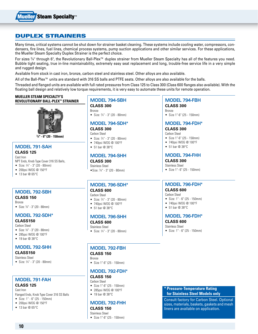

### Duplex Strainers

Many times, critical systems cannot be shut down for strainer basket cleaning. These systems include cooling water, compressors, condensers, fire lines, fuel lines, chemical process systems, pump suction applications and other similar services. For these applications, the Mueller Steam Specialty Duplex Strainer is the perfect choice.

For sizes 3⁄4" through 6", the Revolutionary Ball-Plex™ duplex strainer from Mueller Steam Specialty has all of the features you need. Bubble tight seating, true in-line maintainability, extremely easy seat replacement and long, trouble-free service life in a very simple and rugged design.

Available from stock in cast iron, bronze, carbon steel and stainless steel. Other alloys are also available.

All of the Ball-Plex™ units are standard with 316 SS balls and PTFE seats. Other alloys are also available for the balls.

Threaded and flanged units are available with full rated pressures from Class 125 to Class 300 (Class 600 flanges also available). With the floating ball design and relatively low torque requirements, it is very easy to automate these units for remote operation.

#### **Mueller Steam Specialty's Revolutionary Ball-Plex™ Strainer**



**3 ⁄4" - 6" (20 - 150mm)**

# **Model 791-SAH**

#### **Class 125** Cast Iron

NPT Ends, Knob Type Cover 316 SS Balls,

- • Size: 3 ⁄4" 3" (20 80mm) • 200psi WOG @ 150°F
- $\bullet$  13 bar @ 65°C

### **Model 792-SBH**

#### **Class 150** Bronze

• Size: <sup>3</sup> ⁄4" - 3" (20 - 80mm)

#### **Model 792-SDH\***

#### **Class150**

- Carbon Steel
- • Size: <sup>3</sup> ⁄4" 3" (20 80mm)
- • 285psi WOG @ 100°F
- $\bullet$  19 har @ 38°C

#### **Model 792-SHh**

#### **Class150** Stainless Steel

• Size: 3 ⁄4" - 3" (20 - 80mm)

### **Model 791-FAH**

#### **Class 125** Cast Iron

Flanged Ends, Knob Type Cover 316 SS Balls

- • Size: 1" 6" (25 150mm)
- • 200psi WOG @ 150°F
- 13 bar @ 65°C

### **Model 794-SBH**

**Class 300** Bronze

# • Size: 3 ⁄4" - 3" (20 - 80mm)

#### **Model 794-SDH\* Class 300**

Carbon Steel

- • Size: 3 ⁄4" 3" (20 80mm)
- • 740psi WOG @ 100°F
- • 51 bar @ 38°C

#### **Model 794-SHH**

**Class 300** Stainless Steel •Size: <sup>3</sup> ⁄4" - 3" (20 - 80mm)

#### **Model 796-SDH\* Class 600**

#### Carbon Steel

- • Size: 3 ⁄4" 3" (20 80mm)
- • 740psi WOG @ 100°F
- • 51 bar @ 38°C

#### **Model 796-SHH**

#### **Class 600** Stainless Steel

• Size: 3 ⁄4" - 3" (20 - 80mm)

# **Model 792-FBH**

#### **Class 150**

Bronze • Size 1"-6" (25 - 150mm)

### **Model 792-FDH\***

### **Class 150**

- Carbon Steel • Size 1"-6" (25 - 150mm)
- • 285psi WOG @ 100°F
- 19 bar @ 38°C

### **Model 792-FHH**

#### **Class 150** Stainless Steel

• Size 1"-6" (25 - 150mm)

#### **Model 794-FBH Class 300**

Bronze

• Size 1"-6" (25 - 150mm)

### **Model 794-FDH\***

**Class 300**

- Carbon Steel
- • Size 1"-6" (25 150mm)
- • 740psi WOG @ 100°F
- 51 bar @ 38°C

#### **Model 794-FHH**

**Class 300** Stainless Steel

• Size 1"- 6" (25 - 150mm)

### **Model 796-FDH\***

#### **Class 600**

- Carbon Steel
- • Size: 1" 6" (25 150mm)
- • 740psi WOG @ 100°F
- • 51 bar @ 38°C

#### **Model 796-FDH\***

### **Class 600**

- Stainless Steel
- • Size: 1" 6" (25 150mm)

#### **\* Pressure-Temperature Rating for Stainless Steel Models only**

Consult factory for Carbon Steel. Optional sizes, materials, baskets, gaskets and mesh liners are available on application.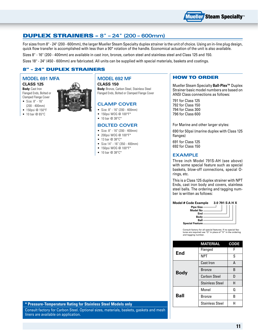

### Duplex Strainers – **8" – 24" (200 – 600mm)**

For sizes from 8" - 24" (200 - 600mm), the larger Mueller Steam Specialty duplex strainer is the unit of choice. Using an in-line plug design, quick flow transfer is accomplished with less than a 90° rotation of the handle. Economical actuation of the unit is also available.

Sizes 8" - 16" (200 - 400mm) are available in cast iron, bronze, carbon steel and stainless steel and Class 125 and 150.

Sizes 18" - 24" (450 - 600mm) are fabricated. All units can be supplied with special materials, baskets and coatings.

### 8" – 24" Duplex Strainers

### **Model 691 MFA**

**Class 125**

- **Body:** Cast Iron Flanged Ends, Bolted or Clamped Flange Cover • Size: 8" - 16"
- (200 400mm)
- 150psi @ 150°F
- 10 bar @ 65°C



#### **Model 692 MF**

**Class 150 Body:** Bronze, Carbon Steel, Stainless Steel Flanged Ends, Bolted or Clamped Flange Cover

#### **Clamp Cover**

- • Size: 8" 16" (200 400mm)
- 150psi WOG @ 100°F\*
- 10 bar  $@38^{\circ}C^*$

#### **Bolted Cover**

- • Size: 8" 16" (200 400mm)
- 200psi WOG @ 100°F\*
- 13 bar  $@38^{\circ}C*$
- • Size 14" 16" (350 400mm)
- 150psi WOG @ 100°F\*
- 10 bar  $@38^{\circ}C^{*}$

#### How To Order

Mueller Steam Specialty **Ball-Plex™** Duplex Strainer basic model numbers are based on ANSI Class connections as follows:

791 for Class 125 792 for Class 150 794 for Class 300 796 for Class 600

For Marine and other larger styles:

690 for 50psi (marine duplex with Class 125 flanges)

691 for Class 125 692 for Class 150

#### **Example**

Three inch Model 791S-AH (see above) with some special feature such as special baskets, blow-off connections, special Orings, etc.

This is a Class 125 duplex strainer with NPT Ends, cast iron body and covers, stainless steel balls. The ordering and tagging number is written as follows:

**Model # Code Example 3.0 791 S A H X Pipe Size Model No End Body Ball**

**Special Feature**

Consult factory for all special features. If no special features are required use "O" in place of "X" in the ordering and tagging number.

|             | MATERIAL               | <b>CODE</b> |
|-------------|------------------------|-------------|
| End         | Flanged                | F           |
|             | <b>NPT</b>             | S           |
|             | <b>Cast Iron</b>       | А           |
| <b>Body</b> | <b>Bronze</b>          | B           |
|             | <b>Carbon Steel</b>    | D           |
|             | <b>Stainless Steel</b> | Н           |
|             | Monel                  | 0           |
| Ball        | Bronze                 | B           |
|             | <b>Stainless Steel</b> | н           |

#### **\* Pressure-Temperature Rating for Stainless Steel Models only**

Consult factory for Carbon Steel. Optional sizes, materials, baskets, gaskets and mesh liners are available on application.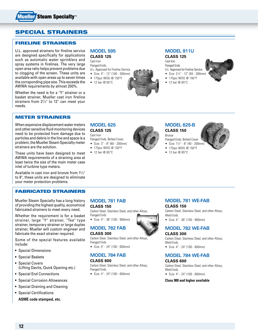

### Special Strainers

#### Fireline strainers

U.L. approved strainers for fireline service are designed specifically for applications such as automatic water sprinklers and spray systems in firelines. The very large open area ratio helps prevent problems due to clogging of the screen. These units are available with open areas up to seven times the corrsponding pipe size. This exceeds the AWWA requirements by almost 200%.

Whether the need is for a "Y" strainer or a basket strainer, Mueller cast iron fireline strainers from  $2^{1}/2$ " to 12" can meet your needs.

#### Meter Strainers

When expensive displacement water meters and other sensitive fluid monitoring devices need to be protected from damage due to particles and debris in the line and space is a problem, the Mueller Steam Specialty meter strainers are the solution.

These units have been designed to meet AWWA requirements of a straining area at least twice the size of the main meter case inlet of turbine type meters.

Available in cast iron and bronze from  $1\frac{1}{2}$ " to 8", these units are designed to eliminate your meter protection problems.

#### Fabricated Strainers

Mueller Steam Specialty has a long history of providing the highest quality, economical fabricated strainers to meet every need.

Whether the requirement is for a basket strainer, large "Y" strainer, "Tee" type strainer, temporary strainer or large duplex strainer, Mueller will custom engineer and fabricate the exact strainer required.

Some of the special features available include:

- Special Dimensions
- Special Baskets
- Special Covers (Lifting Davits, Quick Opening etc.)
- Special End Connections
- Special Corrosion Allowances
- Special Draining and Cleaning
- Special Certifications:

**ASME code stamped, etc.**

#### **Model 595 Class 125**

Cast Iron Flanged Ends, U.L. Approved for Fireline Service

- • Size: 4" 12" (100 300mm)
- • 175psi WOG @ 150°F
- $\bullet$  12 bar @ 65°C
- 



Cast Iron Flanged Ends

U.L. Approved for Fireline Service

- Size: 2½" 12" (65 300mm)
- 



- • 175psi WOG @ 150°F
- $\bullet$  12 bar @ 65°C

### **Model 625**

**Class 125** Cast Iron

- Flanged Ends, Bolted Cover,
- • Size: 3" 8" (80 200mm)

**Model 781 FAB**

• Size: 4" - 36" (100 - 900mm)

• Size: 4" - 24" (100 - 600mm)

• Size: 4" - 24" (100 - 600mm)

**Model 784 FAB**

Carbon Steel, Stainless Steel, and other Alloys,

Carbon Steel, Stainless Steel, and other Alloys,

**Model 782 FAB**

**Class 150**

**Class 300**

**Class 600**

Flanged Ends

Flanged Ends

Flanged Ends

- • 175psi WOG @ 150°F
- $\bullet$  12 bar @ 65°C



#### **Model 625-B Class 150**

- Bronze Flanged Ends, Bolted Cover
- Size: 1½" 8" (40 200mm)
- • 175psi WOG @ 150°F
- $\bullet$  12 bar @ 65°C



# **Model 781 WE-FAB**

**Class 150**

Carbon Steel, Stainless Steel, and other Alloys, Weld Ends

• Size: 4" - 36" (100 - 900mm)

### **Model 782 WE-FAB**

#### **Class 300**

Carbon Steel, Stainless Steel, and other Alloys, Weld Ends

• Size: 4" - 24" (100 - 600mm)

#### **Model 784 WE-FAB**

#### **Class 600**

Carbon Steel, Stainless Steel, and other Alloys, Weld Ends

• Size: 4" - 24" (100 - 600mm)

#### **Class 900 and higher available**

**12**

Carbon Steel, Stainless Steel, and other Alloys,



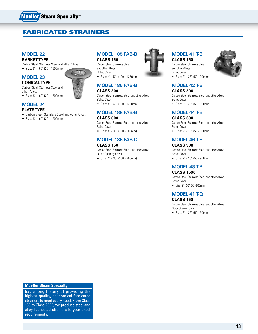

### Fabricated Strainers

#### **Model 22**

#### **Basket Type**

Carbon Steel, Stainless Steel and other Alloys ● Size: 3⁄4" - 60" (20 - 1500mm)

#### **Model 23**

**Conical Type** Carbon Steel, Stainless Steel and

other Alloys • Size: 3 ⁄4" - 60" (20 - 1500mm)

### **Model 24**

#### **Plate Type**

- • Carbon Steel, Stainless Steel and other Alloys
- • Size: 3 ⁄4" 60" (20 1500mm)

# **Model 185 FAB-B**

**Class 150** Carbon Steel, Stainless Steel,

and other Alloys Bolted Cover • Size: 4" - 54" (100 - 1350mm)

### **Model 186 FAB-B**

#### **Class 300**

Carbon Steel, Stainless Steel, and other Alloys Bolted Cover

• Size: 4" - 48" (100 - 1200mm)

#### **Model 188 FAB-B**

#### **Class 600**

Carbon Steel, Stainless Steel, and other Alloys Bolted Cover • Size: 4" - 36" (100 - 900mm)

#### **Model 185 FAB-Q Class 150**

Carbon Steel, Stainless Steel, and other Alloys Quick Opening Cover • Size: 4" - 36" (100 - 900mm)



### **Model 41 T-B**

**Class 150** Carbon Steel, Stainless Steel, and other Alloys Bolted Cover • Size: 2" - 36" (50 - 900mm)



#### **Model 42 T-B**

**Class 300** Carbon Steel, Stainless Steel, and other Alloys Bolted Cover

• Size: 2" - 36" (50 - 900mm)

### **Model 44 T-B**

**Class 600** Carbon Steel, Stainless Steel, and other Alloys Bolted Cover • Size: 2" - 36" (50 - 900mm)

### **Model 46 T-B**

**Class 900** Carbon Steel, Stainless Steel, and other Alloys Bolted Cover

• Size: 2" - 36" (50 - 900mm)

#### **Model 48 T-B Class 1500**

Carbon Steel, Stainless Steel, and other Alloys Bolted Cover

• Size: 2" - 36" (50 - 900mm)

### **Model 41 T-Q**

**Class 150** Carbon Steel, Stainless Steel, and other Alloys

Quick Opening Cover • Size: 2" - 36" (50 - 900mm)

#### **Mueller Steam Specialty**

has a long history of providing the highest quality, economical fabricated strainers to meet every need. From Class 150 to Class 2500, we produce steel and alloy fabricated strainers to your exact requirements.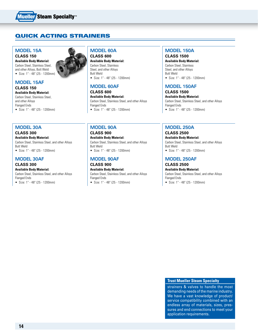

### Quick Acting Strainers

### **Model 15A**

**Class 150 Available Body Material:** Carbon Steel, Stainless Steel, and other Alloys, Butt Weld

• Size: 1" - 48" (25 - 1200mm)

#### **Model 15AF Class 150**

**Available Body Material:** Carbon Steel, Stainless Steel,

and other Alloys Flanged Ends

• Size: 1" - 48" (25 - 1200mm)

## **Model 30A**

**Class 300 Available Body Material:** Carbon Steel, Stainless Steel, and other Alloys Butt Weld • Size: 1" - 48" (25 - 1200mm)

#### **Model 30AF**

**Class 300 Available Body Material:** Carbon Steel, Stainless Steel, and other Alloys Flanged Ends

• Size: 1" - 48" (25 - 1200mm)

### **Model 60A Class 600**

**Available Body Material:** Carbon Steel, Stainless Steel, and other Alloys Butt Weld • Size: 1" - 48" (25 - 1200mm)

### **Model 60AF**

**Class 600**

**Available Body Material:** Carbon Steel, Stainless Steel, and other Alloys Flanged Ends

• Size: 1" - 48" (25 - 1200mm)

### **Model 90A**

**Class 900 Available Body Material:** Carbon Steel, Stainless Steel, and other Alloys Butt Weld • Size: 1" - 48" (25 - 1200mm)

### **Model 90AF**

**Class 900 Available Body Material:** Carbon Steel, Stainless Steel, and other Alloys Flanged Ends • Size: 1" - 48" (25 - 1200mm)

#### **Model 150A Class 1500**

**Available Body Material:** Carbon Steel, Stainless Steel, and other Alloys Butt Weld • Size: 1" - 48" (25 - 1200mm)

#### **Model 150AF**

**Class 1500**

**Available Body Material:** Carbon Steel, Stainless Steel, and other Alloys Flanged Ends • Size: 1" - 48" (25 - 1200mm)

### **Model 250A**

**Class 2500 Available Body Material:** Carbon Steel, Stainless Steel, and other Alloys Butt Weld

• Size: 1" - 48" (25 - 1200mm)

### **Model 250AF**

**Class 2500 Available Body Material:**

Carbon Steel, Stainless Steel, and other Alloys Flanged Ends

• Size: 1" - 48" (25 - 1200mm)

#### **Trust Mueller Steam Specialty**

strainers & valves to handle the most demanding needs of the marine industry. We have a vast knowledge of product/ service compatibility combined with an endless array of materials, sizes, pressures and end connections to meet your application requirements.

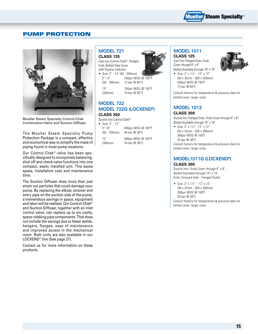

### Pump Protection



Mueller Steam Specialty Control-Chek Combination Valve and Suction Diffuser.

The Mueller Steam Specialty Pump Protection Package is a compact, effective and economical way to simplify the maze of piping found in most pump locations.

Our Control-Chek® valve has been specifically designed to incorporate balancing, shut off and check valve functions into one compact, easily installed unit. This saves space, installation cost and maintenance time.

The Suction Diffuser does more than just strain out particles that could damage your pump. By replacing the elbow, strainer and entry pipe on the suction side of the pump, a tremendous savings in space, equipment and labor will be realized. Our Control-Chek® and Suction Diffuser, together with an inlet control valve, can replace up to six costly, space-robbing pipe components. That does not include the savings due to fewer welds, hangers, flanges, ease of maintenance and improved access in the mechanical room. Both units are also available in our LOCXEND® line (See page 27).

Contact us for more information on these products.

#### **Model 721 Class 125**

Cast Iron Control-Chek®, Flanged Ends, Bolted Yoke Cover with Position Indicator

• Size: 2" - 14" (50 - 350mm) 2"-12" 200psi WOG @ 150°F (50 - 300mm) 13 bar @ 65°C

(350mm) 10 bar @ 65°C

14" 150psi WOG @ 150°F

### **Model 722 Model 722G (LOCXEND®) Class 300**

Ductile Iron Control-Chek®

• Size: 2" - 12" 2"-10" 640psi WOG @ 100°F (50 - 250mm) 44 bar @ 38°C 12" 500psi WOG @ 100°F (300mm) 34 bar @ 38°C

### **Model 1011**

**Class 125** Cast Iron Flanged Ends, Knob Cover through 8" x 8" Bolted Available through 18" x 18"



• Size:  $2" \times 1\frac{1}{4}$ " - 12" x 12" (50 x 32mm - 300 x 300mm) 200psi WOG @ 150ºF 13 bar @ 65ºC

Consult factory for temperature & pressure data for bolted cover, larger sizes.

#### **Model 1012 Class 300**

Ductile Iron Flanged Ends, Knob Cover through 8" x 8" Bolted Available through 18" x 18"

• Size:  $2" \times 1\frac{1}{4}$ " - 12" x 12" (50 x 32mm - 300 x 300mm) 300psi WOG @ 100ºF 20 bar @ 38ºC

Consult factory for temperature & pressure data for bolted cover, larger sizes.

#### **Model1011G (LOCXEND®) Class 300**

Ductile Iron, Knob Cover through 8" x 8", Bolted Available through 14" x 14" Ends: Grooved Inlet - Flanged Outlet

• Size:  $2" \times 1\frac{1}{4} - 12" \times 12"$ (50 x 32mm - 300 x 300mm) 300psi WOG @ 100ºF 20 bar @ 38ºC Consult factory for temperature & pressure data for bolted cover, larger sizes.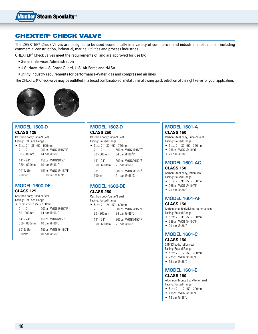### CHEXTER® Check Valve

The CHEXTER® Check Valves are designed to be used economically in a variety of commercial and industrial applications - including commercial construction, industrial, marine, utilities and process industries.

CHEXTER® Check valves meet the requirements of, and are approved for use by:

- General Services Administration
- U.S. Navy, the U.S. Coast Guard, U.S. Air Force and NASA
- Utility industry requirements for performance-Water, gas and compressed air lines

The CHEXTER® Check valve may be outfitted in a broad combination of metal trims allowing quick selection of the right valve for your application.





#### **MODEL 1600-D CLASS 125**

Cast Iron body/Buna-N Seal Facing: Flat Face Flange

| • Size: $2" - 36"$ (50 - 900mm) |                                                  |
|---------------------------------|--------------------------------------------------|
| $2" - 12"$                      | 200psi WOG @150°F                                |
| $50 - 300$ mm                   | 14 har @ 66°C                                    |
| $14" - 24"$<br>$350 - 600$ mm   | 150psi WOG@150°F<br>10 har @ 66°C                |
| 30" & Up<br>900mm               | 150psi WOG @ 150°F<br>10 har $@$ 66 $^{\circ}$ C |

# **MODEL 1600-DE**

**CLASS 125**

| Cast Iron body/Buna-N Seal |  |  |
|----------------------------|--|--|
| Facing: Flat Face Flange   |  |  |

| • Size: 2"-36" (50 - 900mm) |                        |
|-----------------------------|------------------------|
| $2" - 12"$                  | 200psi WOG @150°F      |
| $50 - 300$ mm               | 14 har @ 66°C          |
| $14" - 24"$                 | 150psi WOG@150°F       |
| $350 - 600$ mm              | 10 har @ 66°C          |
| 30" & Up                    | 150psi WOG @ 150°F     |
| 900mm                       | 10 har $@66^{\circ}$ C |

#### **MODEL 1602-D CLASS 250**

| Cast Iron body/Buna-N Seal    |                    |
|-------------------------------|--------------------|
| Facing: Raised Flange         |                    |
| • Size: 2" - 30" (50 - 760mm) |                    |
| $2" - 12"$                    | 500psi WOG @150°F  |
| $50 - 300$ mm                 | 34 bar @ 66°C      |
| $14" - 24"$                   | 300psi W0G@150°F   |
| 350 - 600mm                   | 21 bar @ 66(C      |
| 30"                           | 300psi WOG @ 150°F |
| 900mm                         | 21 bar @ 66°C      |

### **MODEL 1602-DE**

#### **CLASS 250**

Cast Iron body/Buna-N Seal

| Facing: Raised Flange           |                        |
|---------------------------------|------------------------|
| • Size: $2" - 24"$ (50 - 600mm) |                        |
| $2" - 12"$                      | 500psi WOG @150°F      |
| $50 - 300$ mm                   | 34 har @ 66°C          |
| $14" - 24"$                     | 300psi WOG@150°F       |
| 350 - 600mm                     | 21 har $@66^{\circ}$ C |

#### **MODEL 1601-A CLASS 150**

Carbon Steel body/Buna-N Seal

- Facing: Raised Flange
- • Size: 2" 30" (50 750mm)
- • 285psi WOG @ 100(F
- • 20 bar @ 38(C

#### **MODEL 1601-AC CLASS 150**

Carbon Steel body/Teflon seal Facing: Raised Flange

- • Size: 2" 30" (50 750mm)
- • 285psi WOG @ 100ºF
- • 20 bar @ 38ºC

### **MODEL 1601-AF**

#### **CLASS 150**

Carbon steel body/Metal-to-metal seal Facing: Raised Flange

- • Size: 2" 30" (50 750mm)
- • 285psi WOG @ 100ºF
- • 20 bar @ 38ºC

### **MODEL 1601-C**

#### **CLASS 150**

316 SS body/Teflon seal Facing: Raised Flange

- • Size: 2" 12" (50 300mm)
- • 275psi WOG @ 100ºF
- • 19 bar @ 38ºC

#### **MODEL 1601-E CLASS 150**

Aluminum bronze body/Teflon seal Facing: Raised Flange

- • Size: 2" 12" (50 300mm)
- • 195psi WOG @ 100ºF
- • 13 bar @ 38ºC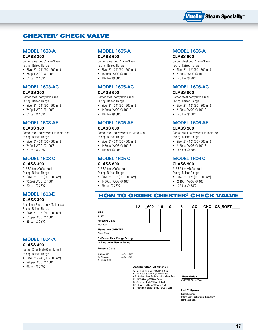

### CHEXTER® Check Valve

#### **MODEL 1603-A CLASS 300**

Carbon steel body/Buna-N seal Facing: Raised Flange

- • Size: 2" 24" (50 600mm)
- • 740psi WOG @ 100ºF
- • 51 bar @ 38ºC

#### **MODEL 1603-AC CLASS 300**

### Carbon steel body/Teflon seal

Facing: Raised Flange

- • Size: 2" 24" (50 600mm)
- • 740psi WOG @ 100ºF
- • 51 bar @ 38ºC

#### **MODEL 1603-AF**

#### **CLASS 300**

Carbon steel body/Metal-to-metal seal Facing: Raised Flange

- • Size: 2" 24" (50 600mm)
- • 740psi WOG @ 100ºF
- 51 bar @ 38°C

### **MODEL 1603-C**

#### **CLASS 300**

316 SS body/Teflon seal Facing: Raised Flange

- • Size: 2" 12" (50 300mm)
- • 720psi WOG @ 100ºF
- $50 \text{ har} \textcircled{2} 38^{\circ} \text{C}$

### **MODEL 1603-E**

#### **CLASS 300**

Aluminum Bronze body/Teflon seal Facing: Raised Flange

- • Size: 2" 12" (50 300mm)
- • 515psi WOG @ 100ºF
- 36 bar @ 38°C

# **MODEL 1604-A**

**CLASS 400** Carbon Steel body/Buna-N seal

Facing: Raised Flange

- • Size: 2" 24" (50 600mm)
- • 990psi WOG @ 100ºF
- • 68 bar @ 38ºC

#### **MODEL 1605-A CLASS 600**

Carbon steel body/Buna-N seal Facing: Raised Flange

- • Size: 2" 24" (50 600mm)
- • 1480psi WOG @ 100ºF
- • 102 bar @ 38ºC

### **MODEL 1605-AC**

#### **CLASS 600** Carbon steel body/Teflon seal

Facing: Raised Flange

- • Size: 2" 24" (50 600mm) • 1480psi WOG @ 100ºF
- 102 bar @ 38°C
- 

### **MODEL 1605-AF**

#### **CLASS 600**

Carbon steel body/Metal-to-Metal seal Facing: Raised Flange

- • Size: 2" 24" (50 600mm)
- • 1480psi WOG @ 100ºF
- 102 bar @ 38°C

### **MODEL 1605-C**

#### **CLASS 600**

316 SS body/Teflon seal Facing: Raised Flange

- • Size: 2" 12" (50 300mm)
- • 1480psi WOG @ 100ºF
- • 99 bar @ 38ºC

#### **MODEL 1606-A CLASS 900**

Carbon steel body/Buna-N seal Facing: Raised Flange

- • Size: 2" 12" (50 300mm)
- • 2120psi WOG @ 100ºF
- • 146 bar @ 38ºC

### **MODEL 1606-AC**

#### **CLASS 900**

Carbon steel body/Teflon seal Facing: Raised Flange

- • Size: 2" 12" (50 300mm)
- • 2120psi WOG @ 100ºF
- 146 bar @ 38°C

### **MODEL 1606-AF**

#### **CLASS 900**

Carbon steel body/Metal-to-metal seal Facing: Raised Flange

- • Size: 2" 12" (50 300mm)
- • 2120psi WOG @ 100ºF
- 146 bar @ 38°C

#### **MODEL 1606-C**

#### **CLASS 900**

316 SS body/Teflon seal Facing: Raised Flange

- • Size: 2" 12" (50 300mm)
- • 2010psi WOG @ 100ºF
- • 139 bar @ 38ºC

### How To order CHEXTER® Check Valve

|                               |                                 | 12 | 600                                                                                                    | 16 | 0 | 5 | AC                         | CHX CS_SOFT |  |
|-------------------------------|---------------------------------|----|--------------------------------------------------------------------------------------------------------|----|---|---|----------------------------|-------------|--|
| Size                          |                                 |    |                                                                                                        |    |   |   |                            |             |  |
| $2" - 30"$                    |                                 |    |                                                                                                        |    |   |   |                            |             |  |
| <b>Pressure Class</b>         |                                 |    |                                                                                                        |    |   |   |                            |             |  |
| $150 - 900#$                  |                                 |    |                                                                                                        |    |   |   |                            |             |  |
| Figure 16 = CHEXTER           |                                 |    |                                                                                                        |    |   |   |                            |             |  |
| <b>Check Valve</b>            |                                 |    |                                                                                                        |    |   |   |                            |             |  |
|                               | 0 - Raised Face Flange Facing   |    |                                                                                                        |    |   |   |                            |             |  |
| 4- Ring Joint Flange Facing   |                                 |    |                                                                                                        |    |   |   |                            |             |  |
| <b>Pressure Class</b>         |                                 |    |                                                                                                        |    |   |   |                            |             |  |
| 1- Class 150<br>5 - Class 600 | 3 - Class 300"<br>6 - Class 900 |    |                                                                                                        |    |   |   |                            |             |  |
| 7 - Class 1500                |                                 |    |                                                                                                        |    |   |   |                            |             |  |
|                               |                                 |    | <b>Standard CHEXTER Materials</b>                                                                      |    |   |   |                            |             |  |
|                               |                                 |    | "A" - Carbon Steel Body/BUNA-N Seal<br>"AC" - Carbon Steel Body/TEFLON Seal                            |    |   |   |                            |             |  |
|                               |                                 |    | "AF" - Carbon Steel Body/Metal to Metal Seal                                                           |    |   |   | <b>Abbreviation</b>        |             |  |
|                               |                                 |    | "C" - 316SS Body/TEFLON Deals<br>"D" - Cast Iron Body/BUNA-N Seal<br>"DE" - Cast Iron Body/BUNA-N Seal |    |   |   | <b>CHEXTER Check Valve</b> |             |  |
|                               |                                 |    | "E" - Aluminum Bronze Body/TEFLON Seal                                                                 |    |   |   | <b>Last 11 Spaces</b>      |             |  |
|                               |                                 |    |                                                                                                        |    |   |   | Miscellaneous              |             |  |

Miscellaneous Information (ie: Material Type, Spft/ Hard Seat, etc.)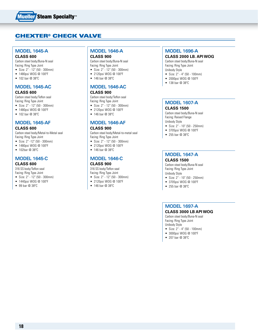

### CHEXTER® Check Valve

#### **MODEL 1645-A CLASS 600**

Carbon steel body/Buna-N seal Facing: Ring Type Joint

- • Size: 2" 12" (50 300mm)
- • 1480psi WOG @ 100ºF
- 102 bar @ 38°C

### **MODEL 1645-AC**

#### **CLASS 600**

Carbon steel body/Teflon seal Facing: Ring Type Joint

- • Size: 2" 12" (50 300mm)
- 1480psi WOG @ 100°F
- 102 bar @ 38°C

### **MODEL 1645-AF**

#### **CLASS 600**

Carbon steel body/Metal-to-Metal seal Facing: Ring Type Joint

- • Size: 2" -12" (50 300mm)
- 1480psi WOG @ 100°F
- 102bar @ 38°C

### **MODEL 1645-C**

#### **CLASS 600**

316 SS body/Teflon seal Facing: Ring Type Joint

- • Size: 2" 12" (50 300mm)
- • 1440psi WOG @ 100ºF
- • 99 bar @ 38ºC

#### **MODEL 1646-A CLASS 900**

Carbon steel body/Buna-N seal Facing: Ring Type Joint

- • Size: 2" 12" (50 300mm) • 2120psi WOG @ 100ºF
- • 146 bar @ 38ºC

# **MODEL 1646-AC**

#### **CLASS 900**

Carbon steel body/Teflon seal Facing: Ring Type Joint

- • Size: 2" 12" (50 300mm)
- • 2120psi WOG @ 100ºF
- 146 bar @ 38°C

### **MODEL 1646-AF**

#### **CLASS 900**

Carbon steel body/Metal-to-metal seal Facing: Ring Type Joint

- • Size: 2" 12" (50 300mm)
- • 2120psi WOG @ 100ºF
- 146 bar @ 38°C

### **MODEL 1646-C**

#### **CLASS 900**

316 SS body/Teflon seal Facing: Ring Type Joint

- • Size: 2" 12" (50 300mm)
- • 2120psi WOG @ 100ºF
- • 146 bar @ 38ºC

#### **MODEL 1696-A**

#### **CLASS 2000 lb. API WOG**

Carbon steel body/Buna-N seal Facing: Ring Type Joint Unibody Style

- • Size: 2" 4" (50 100mm)
- • 2000psi WOG @ 100ºF
- 138 bar @ 38°C

### **MODEL 1607-A**

#### **CLASS 1500**

Carbon steel body/Buna-N seal Facing: Raised Flange Unibody Style

- • Size: 2" 10" (50 250mm)
- 3705psi WOG @ 100°F
- • 255 bar @ 38ºC

### **MODEL 1647-A**

#### **CLASS 1500**

Carbon steel body/Buna-N seal Facing: Ring Type Joint Unibody Style

- • Size: 2" 10" (50 250mm)
- • 3705psi WOG @ 100ºF
- • 255 bar @ 38ºC

#### **MODEL 1697-A**

#### **CLASS 3000 lb API WOG**

Carbon steel body/Buna-N seal Facing: Ring Type Joint Unibody Style

- • Size: 2" 4" (50 100mm)
- 3000psi WOG @ 100°F
- • 207 bar @ 38ºC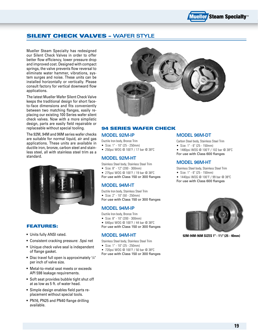### Silent Check Valves – **Wafer Style**

Mueller Steam Specialty has redesigned our Silent Check Valves in order to offer better flow efficiency, lower pressure drop and improved cost. Designed with compact springs, the valve prevents flow reversal to eliminate water hammer, vibrations, system surges and noise. These units can be installed horizontally or vertically. Please consult factory for vertical downward flow applications.

The latest Mueller Wafer Silent Check Valve keeps the traditional design for short faceto-face dimensions and fits conveniently between two matching flanges, easily replacing our existing 100 Series wafer silent check valves. Now with a more simplistic design, parts are easily field repairable or replaceable without special tooling.

The 92M, 94M and 96M series wafer checks are suitable for normal liquid, air and gas applications. These units are available in ductile iron, bronze, carbon steel and stainless steel, all with stainless steel trim as a standard.



#### Features:

- Units fully ANSI rated.
- Consistent cracking pressure: .5psi net
- Unique check valve seal is independent of flange gasket.
- Disc travel full open is approximately  $\frac{1}{4}$ " per inch of valve size.
- Metal-to-metal seat meets or exceeds API 598 leakage requirements.
- Soft seat provides bubble tight shut off at as low as 5 ft. of water head.
- Simple design enables field parts replacement without special tools.
- PN16, PN25 and PN40 flange drilling available.



#### 94 Series Wafer Check

#### **Model 92M-IP**

Ductile Iron body, Bronze Trim

• Size: 1" - 10" (25 - 250mm)

• 250psi WOG @ 100˚F / 17 bar @ 38ºC

#### **Model 92M-HT**

Stainless Steel body, Stainless Steel Trim

• Size: 8" - 12" (200 - 300mm)

• 275psi WOG @ 100˚F / 19 bar @ 38ºC For use with Class 150 or 300 flanges

### **Model 94M-IT**

Ductile Iron body, Stainless Steel Trim • Size: 2" - 10" (50 - 250mm) For use with Class 150 or 300 flanges

### **Model 94M-IP**

- Ductile Iron body, Bronze Trim
- • Size: 8" 10" (200 300mm)
- • 640psi WOG @ 100˚F / 44 bar @ 38ºC
- For use with Class 150 or 300 flanges

#### **Model 94M-HT**

Stainless Steel body, Stainless Steel Trim

- • Size: 1" 10" (25 250mm)
- • 720psi WOG @ 100˚F / 50 bar @ 38ºC

For use with Class 150 or 300 flanges

### **Model 96M-DT**

- Carbon Steel body, Stainless Steel Trim
- • Size: 1" 6" (25 150mm)
- 1480psi WOG @ 100°F / 102 bar @ 38°C For use with Class 600 flanges

#### **Model 96M-HT**

Stainless Steel body, Stainless Steel Trim

- • Size: 1" 6" (25 150mm)
- • 1440psi WOG @ 100˚F / 99 bar @ 38ºC
- For use with Class 600 flanges



**92M-94M-96M sizes 1" - 11 ⁄2" (25 - 40mm)**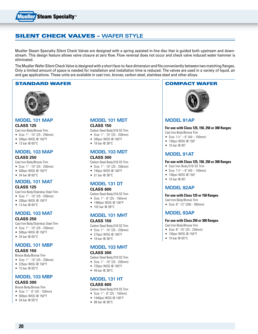

### Silent Check valves – **Wafer style**

Mueller Steam Specialty Silent Check Valves are designed with a spring assisted in-line disc that is guided both upstream and downstream. This design feature allows valve closure at zero flow. Flow reversal does not occur and check valve induced water hammer is eliminated.

The Mueller Wafer Silent Check Valve is designed with a short face-to-face dimension and fits conveniently between two matching flanges. Only a limited amount of space is needed for installation and installation time is reduced. The valves are used in a variety of liquid, air and gas applications. These units are available in cast iron, bronze, carbon steel, stainless steel and other alloys.

#### STANDARD WAFER **COMPACT WAFER**



#### **Model 101 MAP**

#### **Class 125**

- Cast Iron Body/Bronze Trim
- • Size: 1" 10" (25 250mm) • 200psi WOG @ 150°F
- $\bullet$  13 bar @ 65°C
- 

#### **Model 103 MAP Class 250**

Cast Iron Body/Bronze Trim

- • Size: 1" 10" (25 250mm)
- • 500psi WOG @ 150°F
- $\bullet$  34 bar @ 65°C

### **Model 101 MAT**

#### **Class 125**

Cast Iron Body/Stainless Steel Trim

- • Size: 1" 10" (25 250mm)
- • 200psi WOG @ 150°F • 13 bar @ 65°C
- 

### **Model 103 MAT**

#### **Class 250**

Cast Iron Body/Stainless Steel Trim

• Size: 1" - 10" (25 - 250mm)

- • 500psi WOG @ 150°F
- 34 bar @ 65°C

### **Model 101 MBP**

#### **Class 150**

Bronze Body/Bronze Trim

- • Size: 1" 10" (25 250mm)
- • 225psi WOG @ 150°F
- $\bullet$  15 bar @ 65°C

#### **Model 103 MBP Class 300**

- Bronze Body/Bronze Trim
- • Size: 1" 6" (25 150mm)
- • 500psi WOG @ 150°F
- $\bullet$  34 bar @ 65°C

#### **Model 101 MDT Class 150**

- Carbon Steel Body/316 SS Trim
- • Size: 1" 10" (25 250mm)
- • 285psi WOG @ 100°F
- 19 bar @ 38°C

#### **Model 103 MDT Class 300**

- Carbon Steel Body/316 SS Trim
- • Size: 1" 10" (25 250mm)
- • 740psi WOG @ 100°F
- • 51 bar @ 38°C

### **Model 131 DT**

#### **Class 600**

- Carbon Steel Body/316 SS Trim
- • Size: 1" 6" (25 150mm)
- 1480psi WOG @ 100°F
- 102 har  $@.38^{\circ}$ C

#### **Model 101 MHT Class 150**

Carbon Steel Body/316 SS Trim

- • Size: 1" 10" (25 250mm)
- • 275psi WOG @ 100°F
- $\bullet$  19 bar @ 38°C

### **Model 103 MHT**

#### **Class 300**

Carbon Steel Body/316 SS Trim

- • Size: 1" 10" (25 250mm)
- • 720psi WOG @ 100°F
- • 49 bar @ 38°C

# **Model 131 HT**

#### **Class 600**

- Carbon Steel Body/316 SS Trim
- • Size: 1" 6" (25 150mm)

#### • 1440psi WOG @ 100°F

• 99 bar @ 38°C



#### **MODEL 91AP**

#### **For use with Class 125, 150, 250 or 300 flanges** Cast Iron Body/Bronze Trim

- 
- Size:  $1\frac{1}{2}$ " 6" (40 150mm) • 150psi WOG @ 150°
- $\bullet$  10 bar  $@$  65°

#### **MODEL 91AT**

#### **For use with Class 125, 150, 250 or 300 flanges**

- Cast Iron Body/316 SS Trim
- Size:  $1\frac{1}{2}$ " 6" (40 150mm)
- 150psi WOG @ 150°
- $\bullet$  10 bar @ 65°

#### **Model 92AP**

#### **For use with Class 125 or 150 flanges**

- Cast Iron Body/Bronze Trim
- • Size: 8" -12" (200 300mm)

#### **Model 93AP**

#### **For use with Class 250 or 300 flanges**

- Cast Iron Body/Bronze Trim
- • Size: 8" -10" (25 250mm)
- 150psi WOG @ 150°F
- $\bullet$  10 bar @ 65 $\degree$ C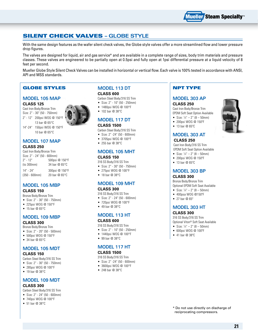### Silent Check Valves **– Globe Style**

With the same design features as the wafer silent check valves, the Globe style valves offer a more streamlined flow and lower pressure drop figures.

The valves are designed for liquid, air and gas service\* and are available in a complete range of sizes, body trim materials and pressure classes. These valves are engineered to be partially open at 0.5psi and fully open at 1psi differential pressure at a liquid velocity of 8 feet per second.

Mueller Globe Style Silent Check Valves can be installed in horizontal or vertical flow. Each valve is 100% tested in accordance with ANSI, API and MSS standards.

### Globe Styles

#### **Model 105 MAP**

#### **Class 125**

Cast Iron Body/Bronze Trim Size: 2" - 30" (50 - 750mm) 2" - 12" 200psi WOG @ 150°F 13 bar @ 65°C



#### 14"-24" 150psi WOG @ 150°F 10 bar @ 65°C

#### **Model 107 MAP Class 250**

Cast Iron Body/Bronze Trim Size: 2" - 24" (50 - 600mm) 2" - 12" 500psi @ 150°F (to 300mm) 34 bar @ 65°C 14" - 24" 300psi @ 150°F (350 - 600mm) 20 bar @ 65°C

### **Model 105 MBP**

#### **Class 150**

Bronze Body/Bronze Trim

- • Size: 2" 30" (50 750mm)
- • 225psi WOG @ 150°F
- $\bullet$  15 bar @ 65°C

### **Model 109 MBP**

#### **Class 300**

Bronze Body/Bronze Trim

- • Size: 2" 20" (50 500mm)
- 500psi WOG @ 150°F
- $\bullet$  34 bar @ 65°C

#### **Model 105 MDT Class 150**

Carbon Steel Body/316 SS Trim

- • Size: 2" 30" (50 750mm)
- • 285psi WOG @ 100°F
- 19 bar @ 38°C

### **Model 109 MDT**

#### **Class 300**

Carbon Steel Body/316 SS Trim

- • Size: 2" 24" (50 600mm)
- • 740psi WOG @ 100°F
- $\bullet$  51 bar @ 38°C

## **Model 113 DT**

### **Class 600**

Carbon Steel Body/316 SS Trim

- • Size: 2" 10" (50 250mm)
- • 1480psi WOG @ 100°F
- 102 bar @ 38°C

### **Model 117 DT**

#### **Class 1500**

- Carbon Steel Body/316 SS Trim
- • Size: 2" -24" (50 600mm)
- • 3705psi WOG @ 100°F
- • 255 bar @ 38°C

### **Model 105 MHT**

### **Class 150**

- 316 SS Body/316 SS Trim
- • Size: 2" 30" (50 750mm)
- • 275psi WOG @ 100°F
- 18 bar @ 38°C

#### **Model 109 MHT Class 300**

- 316 SS Body/316 SS Trim
- • Size: 2" 24" (50 600mm)
- 720psi WOG @ 100°F
- $\bullet$  49 har @ 38°C

#### **Model 113 HT Class 600**

#### 316 SS Body/316 SS Trim

- • Size: 2" 10" (50 250mm)
- 1440psi WOG @ 100°F
- • 99 bar @ 38°C

### **Model 117 HT**

#### **Class 1500**

- 316 SS Body/316 SS Trim
- • Size: 2" -24" (50 600mm)
- 3600psi WOG @ 100°F
- • 248 bar @ 38°C

#### NPT Type

#### **MODEL 303 AP**

#### **Class 250**

Cast Iron Body/Bronze Trim EPDM Soft Seat Option Available

- Size:  $\frac{1}{4}$ " 2" (8 50mm)
- • 200psi WOG @ 150ºF
- • 13 bar @ 65ºC

### **MODEL 303 AT**

#### **Class 250**

 Cast Iron Body/316 SS Trim EPDM Soft Seat Option Available

- Size:  $\frac{1}{4}$ " 2" (8 50mm)
- • 200psi WOG @ 150ºF
- • 13 bar @ 65ºC

#### **MODEL 303 BP**

#### **Class 300**

Bronze Body/Bronze Trim Optional EPDM Soft Seat Available

- Size:  $\frac{1}{4}$ " 2" (8 50mm)
- • 400psa WOG @150ºF
- 27 bar @ 65°

#### **MODEL 303 HT**

#### **Class 300**

316 SS Body/316 SS Trim Optional Viton® Soft Seat Available

• Size:  $\frac{1}{4}$ " – 2" (8 – 50mm)

- • 600psi WOG @ 100ºF
- • 41 bar @ 38ºC

\* Do not use directly on discharge of reciprocating compressors.

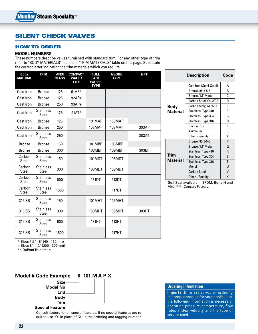### Silent check valves

#### How To Order

#### **Model Numbers**

These numbers describe valves furnished with standard trim. For any other type of trim refer to "BODY MATERIALS" table and "TRIM MATERIALS" table on this page. Substitute the correct letter indicating the trim materials which you require.

| <b>BODY</b><br><b>MATERIAL</b> | <b>TRIM</b>               | <b>ANSI</b><br><b>CLASS</b> | <b>COMPACT</b><br><b>WAFER</b><br><b>TYPE</b> | <b>FULL</b><br><b>FACE</b><br><b>WAFER</b><br><b>TYPE</b> | <b>GLOBE</b><br><b>TYPE</b> | <b>NPT</b> |
|--------------------------------|---------------------------|-----------------------------|-----------------------------------------------|-----------------------------------------------------------|-----------------------------|------------|
| Cast Iron                      | <b>Bronze</b>             | 125                         | $91AP*$                                       |                                                           |                             |            |
| Cast Iron                      | <b>Bronze</b>             | 125                         | $92AP+$                                       |                                                           |                             |            |
| Cast Iron                      | <b>Bronze</b>             | 250                         | $93AP+$                                       |                                                           |                             |            |
| Cast Iron                      | <b>Stainless</b><br>Steel | 125                         | $91AT*$                                       |                                                           |                             |            |
| Cast Iron                      | <b>Bronze</b>             | 125                         |                                               | 101MAP                                                    | 105MAP                      |            |
| Cast Iron                      | <b>Bronze</b>             | 250                         |                                               | 103MAP                                                    | 107MAP                      | 303AP      |
| Cast Iron                      | <b>Stainless</b><br>Steel | 250                         |                                               |                                                           |                             | 303AT      |
| <b>Bronze</b>                  | <b>Bronze</b>             | 150                         |                                               | 101MBP                                                    | 105MBP                      |            |
| <b>Bronze</b>                  | <b>Bronze</b>             | 300                         |                                               | 103MBP                                                    | 109MBP                      | 303BP      |
| Carbon<br>Steel                | <b>Stainless</b><br>Steel | 150                         |                                               | 101MDT                                                    | 105MDT                      |            |
| Carbon<br>Steel                | <b>Stainless</b><br>Steel | 300                         |                                               | 103MDT                                                    | 109MDT                      |            |
| Carbon<br>Steel                | <b>Stainless</b><br>Steel | 600                         |                                               | 131DT                                                     | 113DT                       |            |
| Carbon<br>Steel                | <b>Stainless</b><br>Steel | 1500                        |                                               |                                                           | 117DT                       |            |
| 316 SS                         | <b>Stainless</b><br>Steel | 150                         |                                               | 101MHT                                                    | 105MHT                      |            |
| 316 SS                         | <b>Stainless</b><br>Steel | 300                         |                                               | 103MHT                                                    | 109MHT                      | 303HT      |
| 316 SS                         | <b>Stainless</b><br>Steel | 600                         |                                               | 131HT                                                     | 113HT                       |            |
| 316 SS                         | <b>Stainless</b><br>Steel | 1500                        |                                               |                                                           | 117HT                       |            |

|                  | <b>Description</b>     | Code |
|------------------|------------------------|------|
|                  | Cast Iron (Semi-Steel) | А    |
|                  | Bronze, 85-5-5-5       | В    |
|                  | Bronze, "M" Metal      | C    |
|                  | Carbon Steel, Gr. WCB  | D    |
| Body<br>Material | Carbon Moly, Gr. WCI   | E    |
|                  | Stainless, Type 410    | F    |
|                  | Stainless, Type 304    | G    |
|                  | Stainless, Type 316    | н    |
|                  | Ductile Iron           | ı    |
|                  | Aluminum               | J    |
|                  | Other - Specify        | X    |
|                  | Bronze, 85-5-5-5       | P    |
| Trim<br>Material | Bronze, "M" Metal      | Q    |
|                  | Stainless, Type 410    | R    |
|                  | Stainless, Type 304    | S    |
|                  | Stainless, Type 316    | T    |
|                  | Monel                  | U    |
|                  | <b>Carbon Steel</b>    | V    |
|                  | Other - Specify        | Χ    |

Soft Seat available in EPDM, Buna-N and Viton®\*\*. Consult Factory.

\* Sizes 11⁄2" - 6" (40 - 150mm)

+ Sizes 8" - 12" (200 - 300mm)

\*\* DuPont Trademark



Consult factory for all special features. If no special features are required use "O" in place of "X" in the ordering and tagging number.

#### **Ordering Information**

**Important!** To assist you in ordering the proper product for your application, the following information is necessary: operating pressure, temperature, flow rates and/or velocity and the type of service used.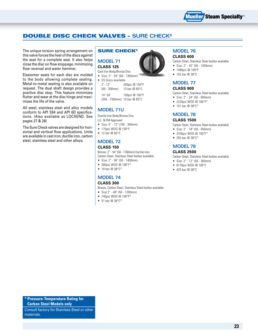

### double disc check valves – **sure check®**

The unique torsion spring arrangement on this valve forces the heel of the discs against the seat for a complete seal. It also helps close the disc on flow stoppage, minimizing flow reversal and water hammer.

Elastomer seats for each disc are molded to the body allowing complete sealing. Metal-to-metal seating is also available on request. The dual shaft design provides a positive disc stop. This feature minimizes flutter and wear at the disc hinge and maximizes the life of the valve.

All steel, stainless steel and alloy models conform to API 594 and API 6D specifications. (Also available as LOCXEND. See pages 27 & 28)

The Sure Check valves are designed for horizontal and vertical flow applications. Units are available in cast iron, ductile iron, carbon steel, stainless steel and other alloys.

#### sure check®

### **Model 71 Class 125**

Cast Iron Body/Bronze Disc

- • Size: 2" 54" (50 1350mm) • SS Discs available 2"- 12" 200psi @ 150°F
	- (50 300mm) 13 bar @ 65°C 14"-54" 150psi @ 150°F
	- (350 7350mm) 10 bar @ 65°C

### **Model 71U**

Ductile Iron Body/Bronze Disc U.L. & FM Approved

- • Size: 4" 12" (100 300mm)
- 175psi WOG @ 150°F
- $\bullet$  12 bar @ 65°C

### **Model 72**

#### **Class 150**

Bronze, 2" - 54" (50 - 1350mm) Ductile Iron, Carbon Steel, Stainless Steel bodies available

- • Size: 2" 56" (50 1400mm)
- • 285psi WOG @ 100°F\*
- $\bullet$  19 bar @ 38°C\*

### **Model 74**

#### **Class 300**

Bronze, Carbon Steel, Stainless Steel bodies available

- • Size 2" 48" (50 1200mm)
- 740psi WOG @ 100°F\*
- 51 bar @ 38°C\*



#### **Model 76 Class 600**

Carbon Steel, Stainless Steel bodies available

- • Size: 2" 42" (50 1050mm)
- • 1480psi @ 100°F
- • 102 bar @ 38°C

### **Model 77**

#### **Class 900**

Carbon Steel, Stainless Steel bodies available

- • Size: 2" 24" (50 600mm)
- • 2220psi WOG @ 100°F\*
- 151 bar @ 38°C\*

#### **Model 78**

#### **Class 1500**

Carbon Steel, Stainless Steel bodies available

- • Size: 2" 18" (50 450mm)
- 3705psi WOG @ 100°F\*
- 255 bar @ 38°C\*

### **Model 79**

#### **Class 2500**

Carbon Steel, Stainless Steel bodies available

- • Size: 2" 12" (50 300mm)
- • 6170psi WOG @ 100°F
- • 425 bar @ 38°C

**\* Pressure-Temperature Rating for Carbon Steel Models only**

Consult factory for Stainless Steel or other materials.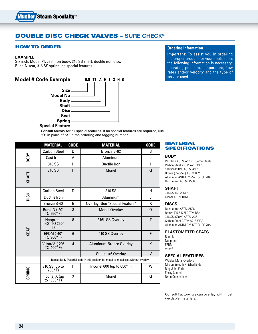

### double disc check valves – **sure check®**

#### How to order

#### **Example**

Six inch, Model 71, cast iron body, 316 SS shaft, ductile iron disc, Buna-N seat, 316 SS spring, no special features.

### **Model # Code Example** 6.0 71 A H I 3 H 0



Consult factory for all special features. If no special features are required, use "O" in place of "X" in the ordering and tagging number.

|               | <b>MATERIAL</b>                                                                     | <b>CODE</b> | <b>MATERIAL</b>                   | <b>CODE</b> |
|---------------|-------------------------------------------------------------------------------------|-------------|-----------------------------------|-------------|
| <b>RODY</b>   | <b>Carbon Steel</b>                                                                 | D           | Bronze B-62                       | B           |
|               | Cast Iron                                                                           | A           | Aluminum                          | J           |
|               | 316 SS                                                                              | н           | Ductile Iron                      | I           |
| <b>SHAFT</b>  | 316 SS                                                                              | H           | Monel                             | $\Omega$    |
| DISC          | Carbon Steel                                                                        | D           | 316 SS                            | н           |
|               | Ductile Iron                                                                        | I           | Aluminum                          | J           |
|               | Bronze B-62                                                                         | B           | Overlay -See "Special Feature"    | X           |
| SEAT          | Buna-N (-20°<br>TO 250 $\textdegree$ F)                                             | 3           | <b>Monel Overlay</b>              | $\Omega$    |
|               | Neoprene<br>(-40° TO 250°<br>F)                                                     | 8           | 316L SS Overlay                   | T           |
|               | EPDM $(-40^\circ$<br>TO 300° F)                                                     | 6           | 410 SS Overlay                    | F           |
|               | Viton®* (-20°<br>TO 400 $\degree$ F)                                                | 4           | Aluminum-Bronze Overlay           | K           |
|               |                                                                                     |             | Stellite #6 Overlay               | V           |
|               | Repeat Body Material code in this position for metal-to-metal seat without overlay. |             |                                   |             |
| <b>SPRING</b> | 316 SS (up to<br>$250^\circ$ F)                                                     | н           | Inconel 600 (up to $650^\circ$ F) | W           |
|               | Inconel X (up<br>to 1000°F)                                                         | x           | Monel                             | Q           |

#### **Ordering Information**

**Important:** To assist you in ordering the proper product for your application, the following information is necessary: operating pressure, temperature, flow rates and/or velocity and the type of service used.

#### **MATERIAL SPECIFICATIONS**

#### **Body**

Cast Iron ASTM A126-B (Semi- Steel) Carbon Steel ASTM A216 WCB 316 SS (CF8M) ASTM A351 Bronze (85-5-5-5) ASTM B62 Aluminum ASTM B26-52T Gr. SG 70A Ductile Iron ASTM A536

#### **shaft**

316 SS ASTM A479 Monel ASTM B164

#### **Discs**

Ductile Iron ASTM A536 Bronze (85-5-5-5) ASTM B62 316 SS (CF8M) ASTM A351 Carbon Steel ASTM A216 WCB Aluminum ASTM B26-52T Gr. SG 70A

#### **Elastometer Seats**

Buna-N Neoprene EPDM Viton®

#### **Special Features**

Welded Metal Overlays Micron Smooth Finished Ends Ring Joint Ends Epoxy Coated Drain Connections

Consult Factory, we can overlay with most weldable materials.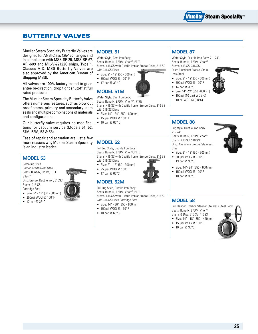

### butterfly valves

Mueller Steam Specialty Butterfly Valves are designed for ANSI Class 125/150 flanges and in compliance with MSS-SP-25, MSS-SP-67, API-609 and MIL-V-22122C ships, Type 1, Classes A-D. MSS Butterfly Valves are also approved by the American Bureau of Shipping (ABS).

All valves are 100% factory tested to guarantee bi-direction, drop tight shutoff at full rated pressure.

The Mueller Steam Specialty Butterfly Valve offers numerous features, such as blow out proof stems, primary and secondary stem seals and multiple combinations of materials and configurations.

Our butterfly valve requires no modifications for vacuum service (Models 51, 52, 51M, 52M, 53 & 58).

Ease of repair and actuation are just a few more reasons why Mueller Steam Specialty is an industry leader.

#### **Model 53**

Semi-Lug Style Carbon or Stainless Steel, Seats: Buna-N, EPDM, PTFE Viton® Disc: Bronze, Ductile Iron, 316SS Stems: 316 SS, Cartridge Seat

- • Size: 2" 12" (50 300mm) • 250psi WOG @ 100°F
- 17 bar @ 38°C

### **Model 51**

Wafer Style, Cast Iron Body, Seats: Buna-N, EPDM, Viton®, PTFE Stems: 416 SS with Ductile Iron or Bronze Discs, 316 SS with 316 SS Discs

- • Size: 2" 12" (50 300mm)
- • 250psi WOG @ 100° F
- 17 bar @ 38° C

### **Model 51M**

Wafer Style, Cast Iron Body, Seats: Buna-N, EPDM, Viton®\*, PTFE, Stems: 416 SS with Ductile Iron or Bronze Discs, 316 SS with 316 SS Discs

- • Size: 14" 24" (350 600mm)
- 150psi WOG @ 150° F
- 10 bar @ 65° C
- 

### **Model 52**

Full Lug Style, Ductile Iron Body Seats: Buna-N, EPDM, Viton®, PTFE Stems: 416 SS with Ductile Iron or Bronze Discs, 316 SS with 316 SS Discs

• Size: 2" - 12" (50 - 300mm)

- • 250psi WOG @ 150°F
- 17 bar @ 65°C

#### **Model 52M**

Full Lug Style, Ductile Iron Body Seats: Buna-N, EPDM, Viton®, PTFE Stems: 416 SS with Ductile Iron or Bronze Discs, 316 SS with 316 SS Discs Cartridge Seat

- • Size: 14" 36" (350 900mm)
- • 150psi WOG @ 150°F
- $\bullet$  10 bar @ 65°C

### **Model 87**

Wafer Style, Ductile Iron Body, 2" - 24", Seats: Buna-N, EPDM, Viton® Stems: 416 SS, 316 SS,

Disc: Aluminum Bronze, Stainless Steel

- • Size: 2" 12" (50 300mm)
- • 200psi WOG @ 100°F
- $\bullet$  14 bar @ 38°C
- • Size: 14" 24" (350 600mm)
- • 150psi (10 bar) WOG @ 100ºF WOG @ (38°C)

### **Model 88**

Lug style, Ductile Iron Body, 2" - 24" Seats: Buna-N, EPDM, Viton®

Stems: 416 SS, 316 SS Disc: Aluminum Bronze, Stainless Steel



- • Size: 2" 12" (50 300mm) • 200psi WOG @ 100°F 13 bar @ 38°C
- • Size: 14"- 24" (350 600mm)
- 150psi WOG @ 100°F
- 10 bar @ 38°C

### **Model 58**

Full Flanged, Carbon Steel or Stainless Steel Body Seats: Buna-N, EPDM, Viton®

- Stems & Disc: 316 SS, 416SS
- • Size: 14" 18" (350 450mm)
- • 150psi WOG @ 100°F
- 10 bar @ 38°C





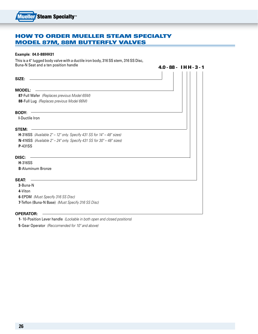### how to order Mueller Steam Specialty Model 87M, 88M Butterfly Valves

#### **Example: 04.0-88IHH31**

This is a 4" lugged body valve with a ductile iron body, 316 SS stem, 316 SS Disc, Buna-N Seat and a ten position handle

4.0 - 88 - I H H - 3 - 1 **SIZE: MODEL: 87**-Full Wafer *(Replaces previous Model 65M)* **88**-Full Lug *(Replaces previous Model 66M)* **body: -I**-Ductile Iron **Stem: H**-316SS *(Available 2" – 12" only. Specify 431 SS for 14" – 48" sizes)* **N**-416SS *(Available 2" – 24" only. Specify 431 SS for 30" – 48" sizes)* **P**-431SS **Disc: H**-316SS **B**-Aluminum Bronze **Seat: 3**-Buna-N **4**-Viton **6**-EPDM *(Must Specify 316 SS Disc)* **7**-Teflon (Buna-N Base) *(Must Specify 316 SS Disc)* **Operator:**

**1**- 10-Position Lever handle *(Lockable in both open and closed positions)*

**5**-Gear Operator *(Reccomended for 10" and above)*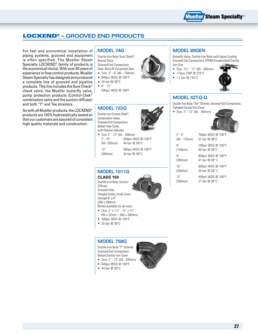

### Locxend® – **Grooved End Products**

For fast and economical installation of piping systems, grooved end equipment is often specified. The Mueller Steam Specialty LOCXEND® family of products is the economical choice. With over 60 years of experience in flow control products, Mueller Steam Specialty has designed and produced a complete line of grooved end pipeline products. This line includes the Sure Check® check valve, the Mueller butterfly valve, pump protection products (Control-Chek® combination valve and the suction diffuser) and both "Y" and Tee strainers.

As with all Mueller products, the LOCXEND® products are 100% hydrostatically tested so that our customers are assured of consistent high quality materials and construction.

#### **Model 74G**

Ductile Iron Body Sure Check®, Bronze Discs, Grooved End Connections Seat: Buna-N Vulcanized Seat • Size: 3" - 6" (80 - 150mm) • 640psi WOG @ 100°F

- 44 bar @ 38°C
- $8" 12"$
- 500psi WOG @ 100ºF

#### **Model 722G**

Ductile Iron Control-Chek®, Combination Valve, Grooved End Connections Bolted Yoke Cover, with Position Indicator

• Size 2" - 12" (50 - 300mm) 2"- 10" 640psi WOG @ 100°F (50- 250mm) 44 bar @ 38°C

12" 500psi WOG @ 100°F

(300mm) 34 bar @ 38°C



#### **Model 89GEN**

Butterfly Valve, Ductile Iron Body with Epoxy Coating Grooved End Connections, EPDM Encapsulated Ductile Iron Disc

- Size: 2½" 12" (65 300mm)
- $\bullet$  175psi CWP @ 275°F
- 1.2 bar @ 135°C



### **Model 42T-G-Q**

Ductlle Iron Body "Tee" Strainer, Grooved End Connections, Clamped Ductile Iron Cover

• Size: 2" - 12" (50 - 300mm)



| $2" - 5"$      | 750psi WOG @ 100°F |
|----------------|--------------------|
| $(50 - 125mm)$ | 51 bar @ 38°C      |
| 6"             | 700psi WOG @ 100°F |
| (150mm)        | 48 bar @ 38°C      |
| 8"             | 600psi WOG @ 100°F |
| (200mm)        | 41 bar @ 38° C     |
| 10"            | 500psi WOG @ 100°F |
| (250mm)        | 34 har @ 38° C     |
| 12"            | 400psi WOG @ 100°F |
| (300mm)        | 27 bar @ 38°C      |

**Model 1011G Class 150** Ductile Iron Body Suction Diffuser Grooved Inlet, Flanged Outlet, Knob Cover

through 8" x 8" (200 x 200mm) Bolted available for all sizes

- Size:  $2" \times 1\frac{1}{4}$ " 12" x 12" (50 x 32mm – 300 x 300mm)
- 300psi WOG @ 100°F
- • 20 bar @ 38°C

#### **Model 758G**

Ductile Iron Body "Y" Strainer Grooved End Connections Bolted Ductile Iron Cover

- • Size: 2" 12" (50 300mm)
- • 640psi WOG @ 100°F
- $\bullet$  44 bar @ 38°C

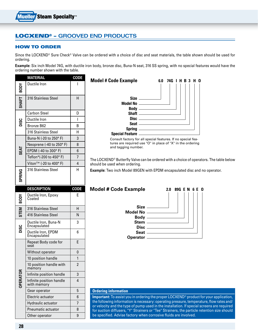## Locxend® – **Grooved End Products**

#### How to order

Since the LOCXEND® Sure Check® Valve can be ordered with a choice of disc and seat materials, the table shown should be used for ordering.

**Example:** Six inch Model 74G, with ductile iron body, bronze disc, Buna-N seat, 316 SS spring, with no special features would have the ordering number shown with the table.

|                 | <b>MATERIAL</b>                         | <b>CODE</b> |
|-----------------|-----------------------------------------|-------------|
| <b>NOD8</b>     | Ductile Iron                            | I           |
| SHAFT           | 316 Stainless Steel                     | Н           |
|                 | <b>Carbon Steel</b>                     | D           |
| <b>DISC</b>     | Ductile Iron                            | I           |
|                 | Bronze B62                              | B           |
|                 | 316 Stainless Steel                     | Н           |
|                 | Buna-N (-20 to 250° F)                  | 3           |
|                 | Neoprene (-40 to 250°F)                 | 8           |
| SEAT            | EPDM (-40 to 300°F)                     | 6           |
|                 | Teflon*(-200 to 450°F)                  | 7           |
|                 | Viton®* (-20 to 400°F)                  | 4           |
| <b>SPRING</b>   | 316 Stainless Steel                     | Н           |
|                 | <b>DESCRIPTION</b>                      | <b>CODE</b> |
| STEM BODY       | Ductile Iron, Epoxy<br>Coated           | E           |
|                 | 316 Stainless Steel                     | н           |
|                 | 416 Stainless Steel                     | Ν           |
| <b>DISC</b>     | Ductile Iron, Buna-N<br>Encapsulated    | 3           |
|                 | Ductile Iron, EPDM<br>Encapsulated      | 6           |
|                 | Repeat Body code for<br>seat            | E           |
|                 | Without operator                        | 0           |
|                 | 10 position handle                      | 1           |
|                 | 10 position handle with<br>memory       | 2           |
|                 | Infinite position handle                | 3           |
| <b>OPERATOR</b> | Infinite position handle<br>with memory | 4           |
|                 | Gear operator                           | 5           |
|                 | Electric actuator                       | 6           |
|                 | Hydraulic actuator                      | 7           |
|                 | Pneumatic actuator                      | 8           |
|                 | Other operator                          | 9           |



tures are required use "O" in place of "X" in the ordering and tagging number.

The LOCXEND® Butterfly Valve can be ordered with a choice of operators. The table below should be used when ordering.

**Example:** Two inch Model 89GEN with EPDM encapsulated disc and no operator.



#### **Ordering information**

**Important:** To assist you in ordering the proper LOCXEND® product for your application, the following information is necessary: operating pressure, temperature, flow rates and/ or velocity and the type of pump used in the installation. If special screens are required for suction diffusers, "Y" Strainers or "Tee" Strainers, the particle retention size should be specified. Advise factory when corrosive fluids are involved.